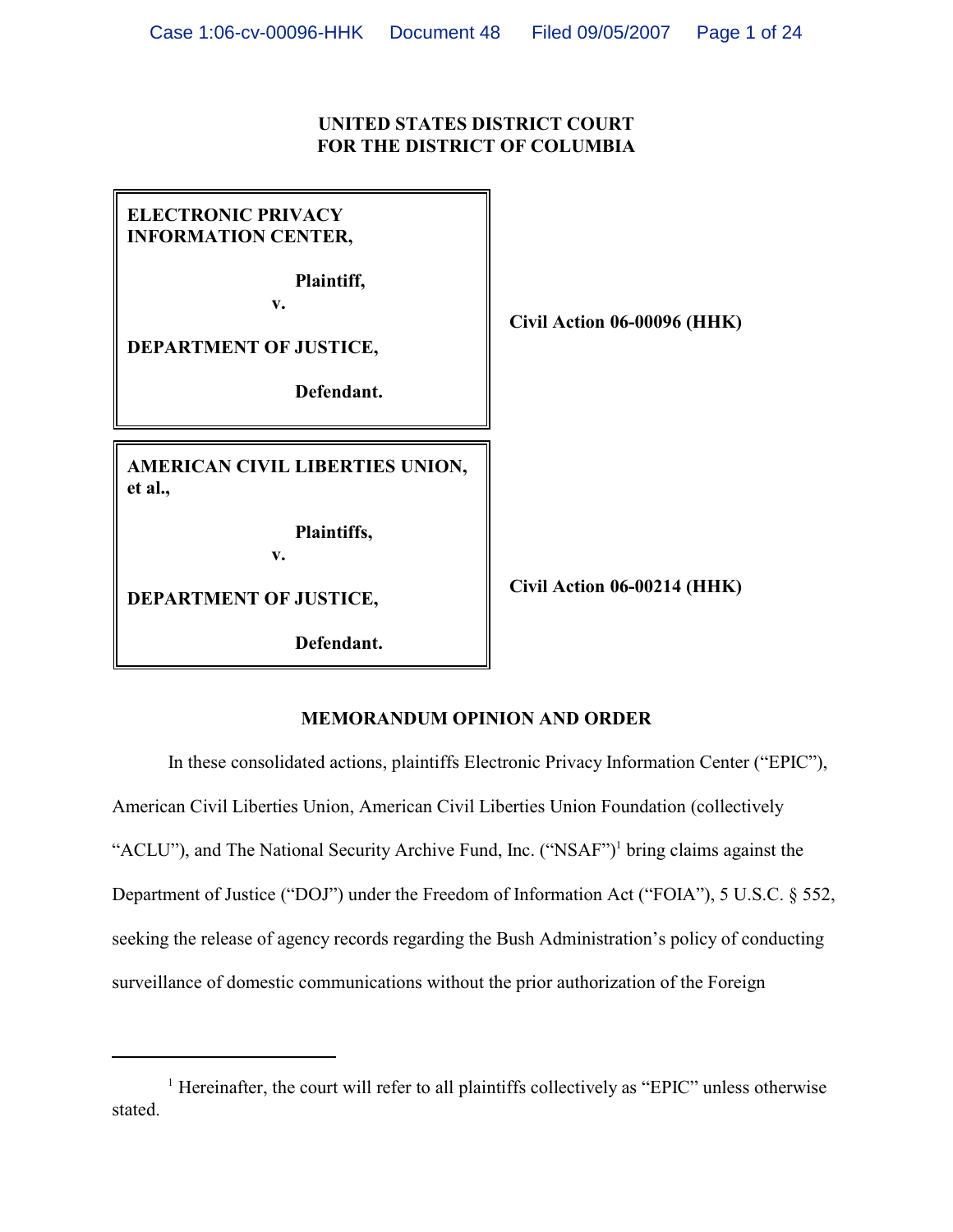# **UNITED STATES DISTRICT COURT FOR THE DISTRICT OF COLUMBIA**

| <b>ELECTRONIC PRIVACY</b><br><b>INFORMATION CENTER,</b><br>Plaintiff,<br>v.<br>DEPARTMENT OF JUSTICE,<br>Defendant. | Civil Action 06-00096 (HHK) |
|---------------------------------------------------------------------------------------------------------------------|-----------------------------|
| AMERICAN CIVIL LIBERTIES UNION,<br>et al.,                                                                          |                             |
| Plaintiffs,<br>v.                                                                                                   |                             |
| DEPARTMENT OF JUSTICE,                                                                                              | Civil Action 06-00214 (HHK) |
| Defendant.                                                                                                          |                             |

# **MEMORANDUM OPINION AND ORDER**

In these consolidated actions, plaintiffs Electronic Privacy Information Center ("EPIC"), American Civil Liberties Union, American Civil Liberties Union Foundation (collectively "ACLU"), and The National Security Archive Fund, Inc. ("NSAF")<sup>1</sup> bring claims against the Department of Justice ("DOJ") under the Freedom of Information Act ("FOIA"), 5 U.S.C. § 552, seeking the release of agency records regarding the Bush Administration's policy of conducting surveillance of domestic communications without the prior authorization of the Foreign

 $<sup>1</sup>$  Hereinafter, the court will refer to all plaintiffs collectively as "EPIC" unless otherwise</sup> stated.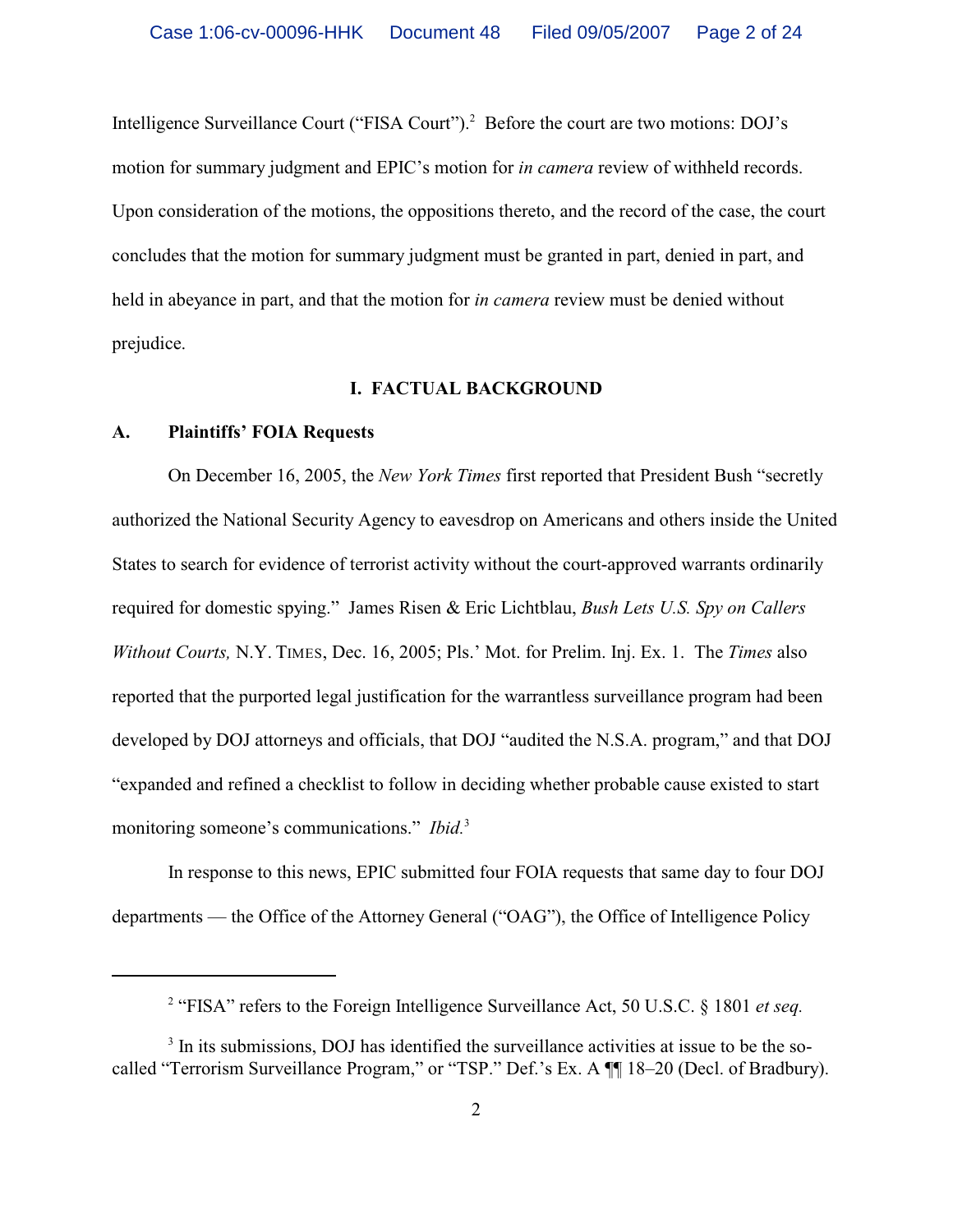Intelligence Surveillance Court ("FISA Court").<sup>2</sup> Before the court are two motions: DOJ's motion for summary judgment and EPIC's motion for *in camera* review of withheld records. Upon consideration of the motions, the oppositions thereto, and the record of the case, the court concludes that the motion for summary judgment must be granted in part, denied in part, and held in abeyance in part, and that the motion for *in camera* review must be denied without prejudice.

### **I. FACTUAL BACKGROUND**

#### **A. Plaintiffs' FOIA Requests**

On December 16, 2005, the *New York Times* first reported that President Bush "secretly authorized the National Security Agency to eavesdrop on Americans and others inside the United States to search for evidence of terrorist activity without the court-approved warrants ordinarily required for domestic spying." James Risen & Eric Lichtblau, *Bush Lets U.S. Spy on Callers Without Courts,* N.Y. TIMES, Dec. 16, 2005; Pls.' Mot. for Prelim. Inj. Ex. 1. The *Times* also reported that the purported legal justification for the warrantless surveillance program had been developed by DOJ attorneys and officials, that DOJ "audited the N.S.A. program," and that DOJ "expanded and refined a checklist to follow in deciding whether probable cause existed to start monitoring someone's communications." *Ibid.*<sup>3</sup>

In response to this news, EPIC submitted four FOIA requests that same day to four DOJ departments — the Office of the Attorney General ("OAG"), the Office of Intelligence Policy

<sup>&</sup>lt;sup>2</sup> "FISA" refers to the Foreign Intelligence Surveillance Act, 50 U.S.C. § 1801 *et seq.* 

<sup>&</sup>lt;sup>3</sup> In its submissions, DOJ has identified the surveillance activities at issue to be the socalled "Terrorism Surveillance Program," or "TSP." Def.'s Ex. A ¶¶ 18–20 (Decl. of Bradbury).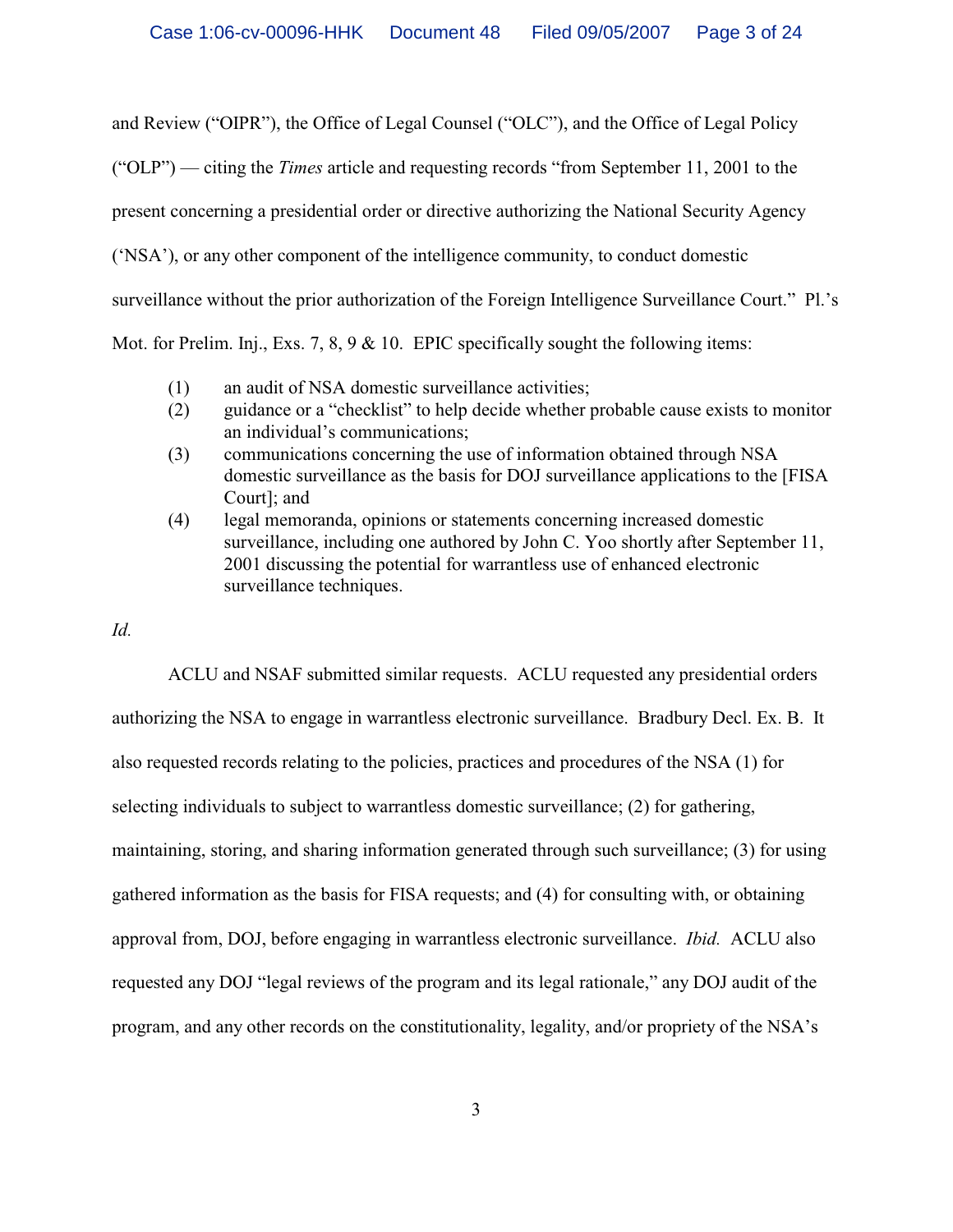and Review ("OIPR"), the Office of Legal Counsel ("OLC"), and the Office of Legal Policy

("OLP") — citing the *Times* article and requesting records "from September 11, 2001 to the

present concerning a presidential order or directive authorizing the National Security Agency

('NSA'), or any other component of the intelligence community, to conduct domestic

surveillance without the prior authorization of the Foreign Intelligence Surveillance Court." Pl.'s

Mot. for Prelim. Inj., Exs. 7, 8, 9  $\&$  10. EPIC specifically sought the following items:

- (1) an audit of NSA domestic surveillance activities;
- (2) guidance or a "checklist" to help decide whether probable cause exists to monitor an individual's communications;
- (3) communications concerning the use of information obtained through NSA domestic surveillance as the basis for DOJ surveillance applications to the [FISA Court]; and
- (4) legal memoranda, opinions or statements concerning increased domestic surveillance, including one authored by John C. Yoo shortly after September 11, 2001 discussing the potential for warrantless use of enhanced electronic surveillance techniques.

# *Id.*

ACLU and NSAF submitted similar requests. ACLU requested any presidential orders authorizing the NSA to engage in warrantless electronic surveillance. Bradbury Decl. Ex. B. It also requested records relating to the policies, practices and procedures of the NSA (1) for selecting individuals to subject to warrantless domestic surveillance; (2) for gathering, maintaining, storing, and sharing information generated through such surveillance; (3) for using gathered information as the basis for FISA requests; and (4) for consulting with, or obtaining approval from, DOJ, before engaging in warrantless electronic surveillance. *Ibid.* ACLU also requested any DOJ "legal reviews of the program and its legal rationale," any DOJ audit of the program, and any other records on the constitutionality, legality, and/or propriety of the NSA's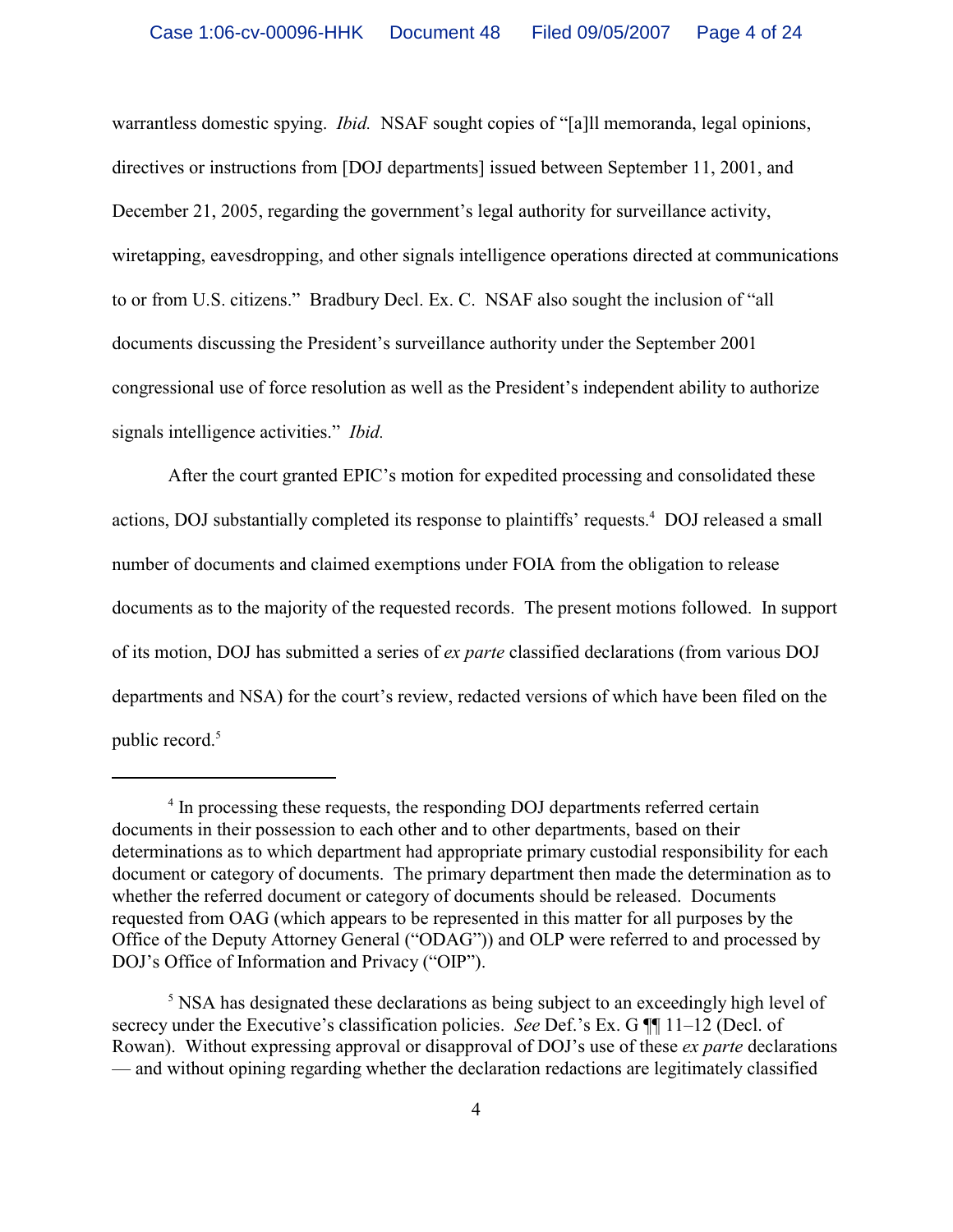warrantless domestic spying. *Ibid.* NSAF sought copies of "[a]ll memoranda, legal opinions, directives or instructions from [DOJ departments] issued between September 11, 2001, and December 21, 2005, regarding the government's legal authority for surveillance activity, wiretapping, eavesdropping, and other signals intelligence operations directed at communications to or from U.S. citizens." Bradbury Decl. Ex. C. NSAF also sought the inclusion of "all documents discussing the President's surveillance authority under the September 2001 congressional use of force resolution as well as the President's independent ability to authorize signals intelligence activities." *Ibid.*

After the court granted EPIC's motion for expedited processing and consolidated these actions, DOJ substantially completed its response to plaintiffs' requests.<sup>4</sup> DOJ released a small number of documents and claimed exemptions under FOIA from the obligation to release documents as to the majority of the requested records. The present motions followed. In support of its motion, DOJ has submitted a series of *ex parte* classified declarations (from various DOJ departments and NSA) for the court's review, redacted versions of which have been filed on the public record.<sup>5</sup>

<sup>&</sup>lt;sup>4</sup> In processing these requests, the responding DOJ departments referred certain documents in their possession to each other and to other departments, based on their determinations as to which department had appropriate primary custodial responsibility for each document or category of documents. The primary department then made the determination as to whether the referred document or category of documents should be released. Documents requested from OAG (which appears to be represented in this matter for all purposes by the Office of the Deputy Attorney General ("ODAG")) and OLP were referred to and processed by DOJ's Office of Information and Privacy ("OIP").

 $<sup>5</sup>$  NSA has designated these declarations as being subject to an exceedingly high level of</sup> secrecy under the Executive's classification policies. *See* Def.'s Ex. G ¶¶ 11–12 (Decl. of Rowan). Without expressing approval or disapproval of DOJ's use of these *ex parte* declarations — and without opining regarding whether the declaration redactions are legitimately classified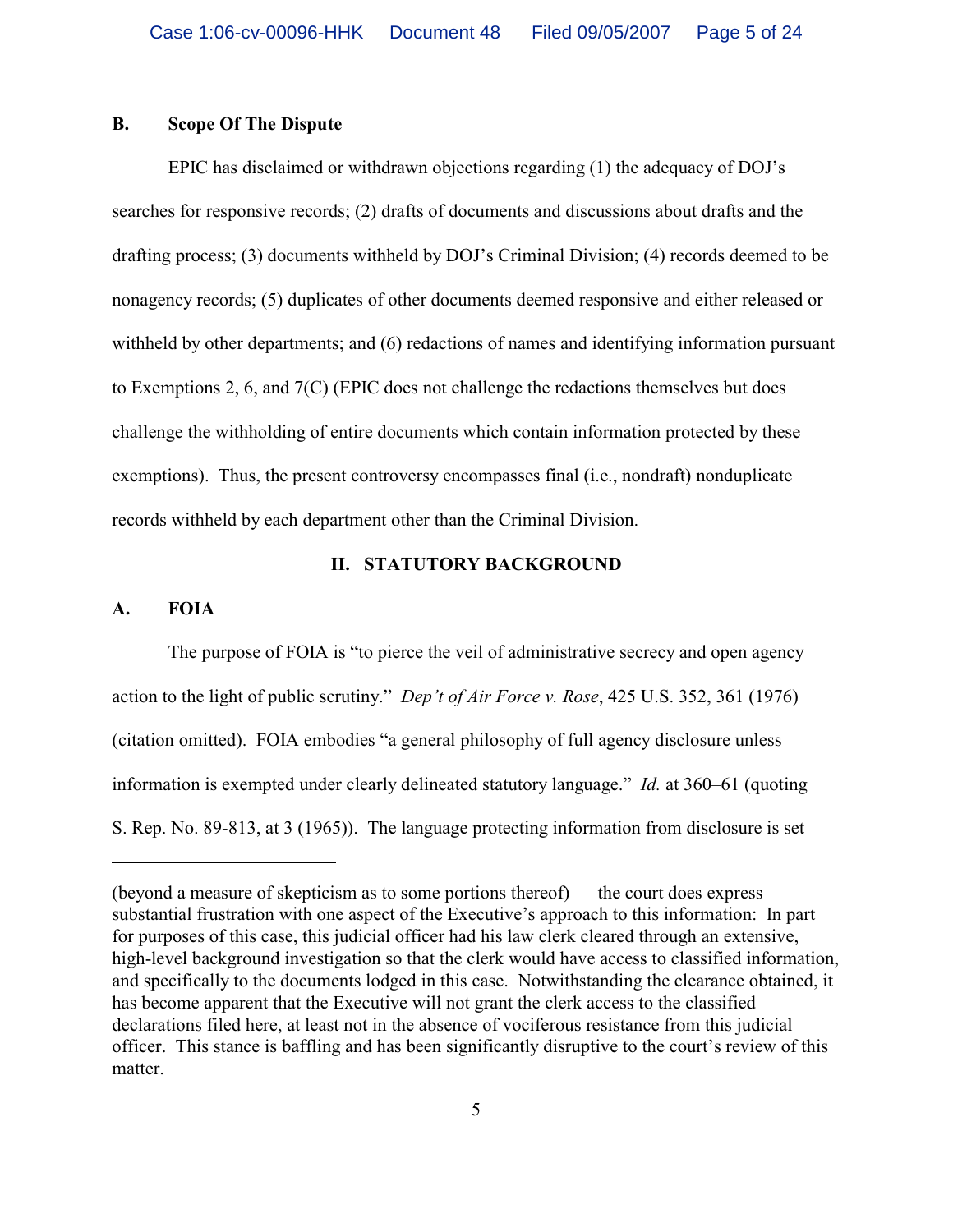# **B. Scope Of The Dispute**

EPIC has disclaimed or withdrawn objections regarding (1) the adequacy of DOJ's searches for responsive records; (2) drafts of documents and discussions about drafts and the drafting process; (3) documents withheld by DOJ's Criminal Division; (4) records deemed to be nonagency records; (5) duplicates of other documents deemed responsive and either released or withheld by other departments; and (6) redactions of names and identifying information pursuant to Exemptions 2, 6, and 7(C) (EPIC does not challenge the redactions themselves but does challenge the withholding of entire documents which contain information protected by these exemptions). Thus, the present controversy encompasses final (i.e., nondraft) nonduplicate records withheld by each department other than the Criminal Division.

### **II. STATUTORY BACKGROUND**

#### **A. FOIA**

The purpose of FOIA is "to pierce the veil of administrative secrecy and open agency action to the light of public scrutiny." *Dep't of Air Force v. Rose*, 425 U.S. 352, 361 (1976) (citation omitted). FOIA embodies "a general philosophy of full agency disclosure unless information is exempted under clearly delineated statutory language." *Id.* at 360–61 (quoting S. Rep. No. 89-813, at 3 (1965)). The language protecting information from disclosure is set

<sup>(</sup>beyond a measure of skepticism as to some portions thereof) — the court does express substantial frustration with one aspect of the Executive's approach to this information: In part for purposes of this case, this judicial officer had his law clerk cleared through an extensive, high-level background investigation so that the clerk would have access to classified information, and specifically to the documents lodged in this case. Notwithstanding the clearance obtained, it has become apparent that the Executive will not grant the clerk access to the classified declarations filed here, at least not in the absence of vociferous resistance from this judicial officer. This stance is baffling and has been significantly disruptive to the court's review of this matter.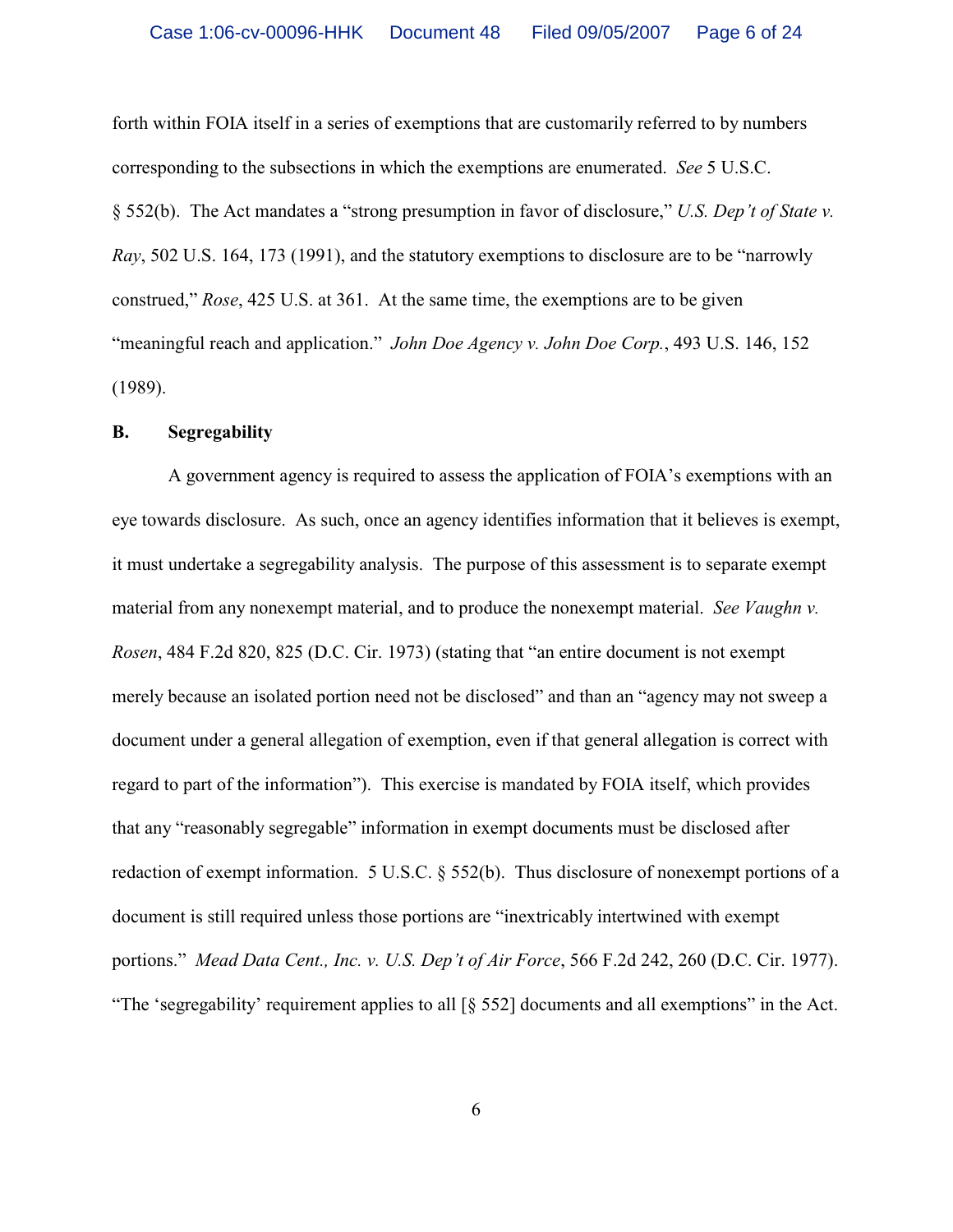forth within FOIA itself in a series of exemptions that are customarily referred to by numbers corresponding to the subsections in which the exemptions are enumerated. *See* 5 U.S.C. § 552(b). The Act mandates a "strong presumption in favor of disclosure," *U.S. Dep't of State v. Ray*, 502 U.S. 164, 173 (1991), and the statutory exemptions to disclosure are to be "narrowly construed," *Rose*, 425 U.S. at 361. At the same time, the exemptions are to be given "meaningful reach and application." *John Doe Agency v. John Doe Corp.*, 493 U.S. 146, 152 (1989).

#### **B. Segregability**

A government agency is required to assess the application of FOIA's exemptions with an eye towards disclosure. As such, once an agency identifies information that it believes is exempt, it must undertake a segregability analysis. The purpose of this assessment is to separate exempt material from any nonexempt material, and to produce the nonexempt material. *See Vaughn v. Rosen*, 484 F.2d 820, 825 (D.C. Cir. 1973) (stating that "an entire document is not exempt merely because an isolated portion need not be disclosed" and than an "agency may not sweep a document under a general allegation of exemption, even if that general allegation is correct with regard to part of the information"). This exercise is mandated by FOIA itself, which provides that any "reasonably segregable" information in exempt documents must be disclosed after redaction of exempt information. 5 U.S.C. § 552(b). Thus disclosure of nonexempt portions of a document is still required unless those portions are "inextricably intertwined with exempt portions." *Mead Data Cent., Inc. v. U.S. Dep't of Air Force*, 566 F.2d 242, 260 (D.C. Cir. 1977). "The 'segregability' requirement applies to all [§ 552] documents and all exemptions" in the Act.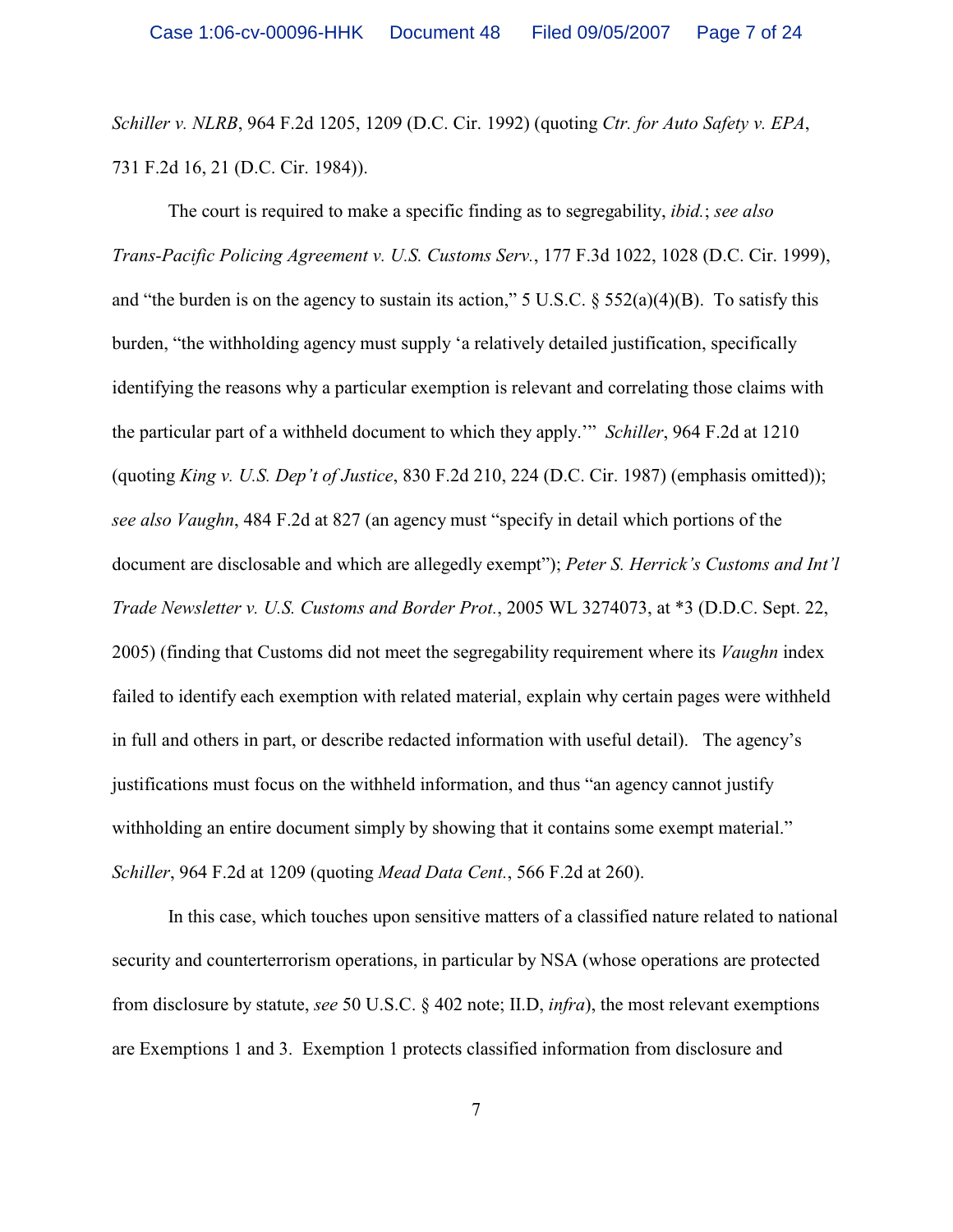*Schiller v. NLRB*, 964 F.2d 1205, 1209 (D.C. Cir. 1992) (quoting *Ctr. for Auto Safety v. EPA*, 731 F.2d 16, 21 (D.C. Cir. 1984)).

The court is required to make a specific finding as to segregability, *ibid.*; *see also Trans-Pacific Policing Agreement v. U.S. Customs Serv.*, 177 F.3d 1022, 1028 (D.C. Cir. 1999), and "the burden is on the agency to sustain its action," 5 U.S.C.  $\S$  552(a)(4)(B). To satisfy this burden, "the withholding agency must supply 'a relatively detailed justification, specifically identifying the reasons why a particular exemption is relevant and correlating those claims with the particular part of a withheld document to which they apply.'" *Schiller*, 964 F.2d at 1210 (quoting *King v. U.S. Dep't of Justice*, 830 F.2d 210, 224 (D.C. Cir. 1987) (emphasis omitted)); *see also Vaughn*, 484 F.2d at 827 (an agency must "specify in detail which portions of the document are disclosable and which are allegedly exempt"); *Peter S. Herrick's Customs and Int'l Trade Newsletter v. U.S. Customs and Border Prot.*, 2005 WL 3274073, at \*3 (D.D.C. Sept. 22, 2005) (finding that Customs did not meet the segregability requirement where its *Vaughn* index failed to identify each exemption with related material, explain why certain pages were withheld in full and others in part, or describe redacted information with useful detail). The agency's justifications must focus on the withheld information, and thus "an agency cannot justify withholding an entire document simply by showing that it contains some exempt material." *Schiller*, 964 F.2d at 1209 (quoting *Mead Data Cent.*, 566 F.2d at 260).

In this case, which touches upon sensitive matters of a classified nature related to national security and counterterrorism operations, in particular by NSA (whose operations are protected from disclosure by statute, *see* 50 U.S.C. § 402 note; II.D, *infra*), the most relevant exemptions are Exemptions 1 and 3. Exemption 1 protects classified information from disclosure and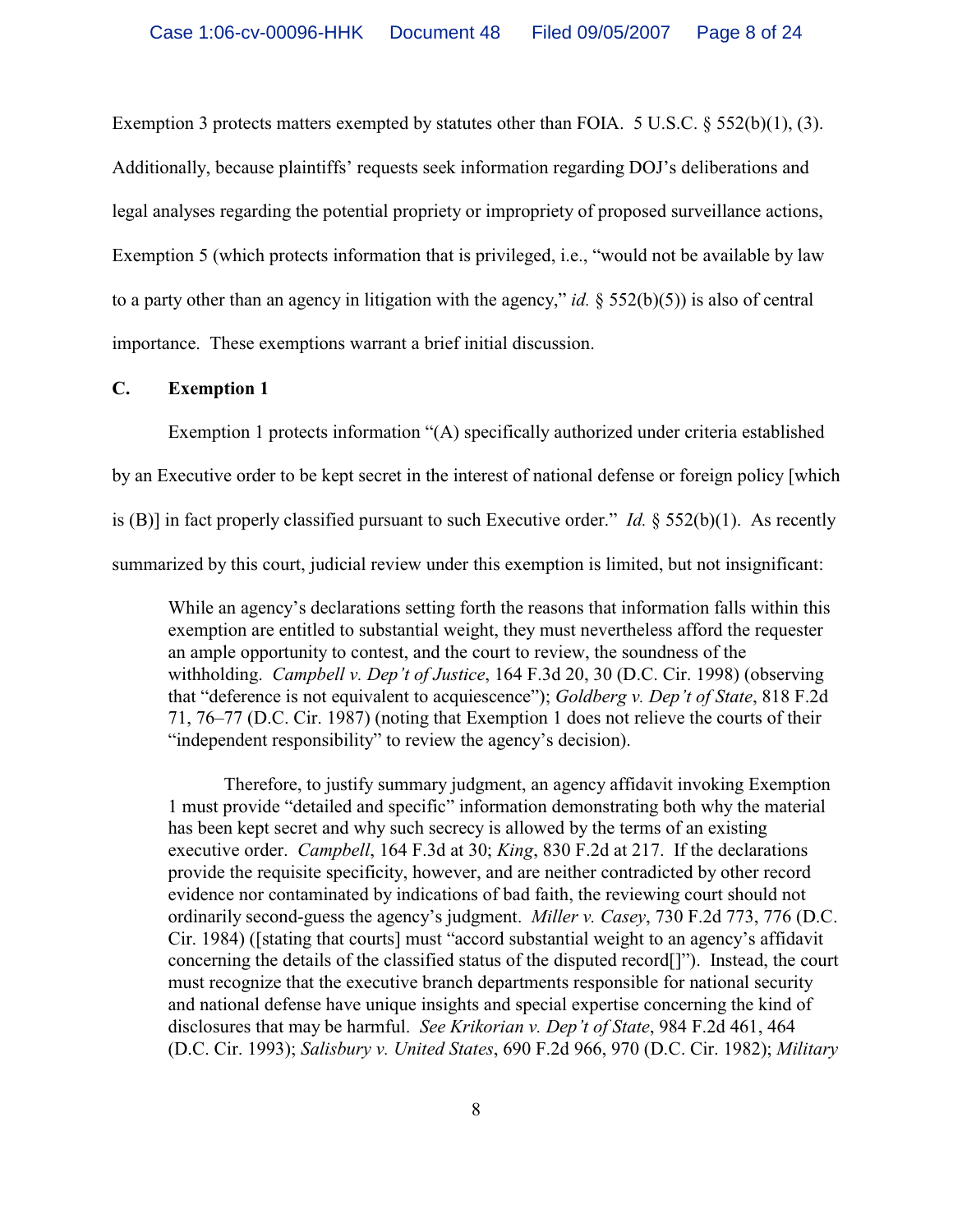Exemption 3 protects matters exempted by statutes other than FOIA.  $5 \text{ U.S.C.} \$  $552(b)(1), (3)$ .

Additionally, because plaintiffs' requests seek information regarding DOJ's deliberations and legal analyses regarding the potential propriety or impropriety of proposed surveillance actions, Exemption 5 (which protects information that is privileged, i.e., "would not be available by law to a party other than an agency in litigation with the agency," *id.* § 552(b)(5)) is also of central importance. These exemptions warrant a brief initial discussion.

### **C. Exemption 1**

Exemption 1 protects information "(A) specifically authorized under criteria established by an Executive order to be kept secret in the interest of national defense or foreign policy [which is (B)] in fact properly classified pursuant to such Executive order." *Id.* § 552(b)(1). As recently summarized by this court, judicial review under this exemption is limited, but not insignificant:

While an agency's declarations setting forth the reasons that information falls within this exemption are entitled to substantial weight, they must nevertheless afford the requester an ample opportunity to contest, and the court to review, the soundness of the withholding. *Campbell v. Dep't of Justice*, 164 F.3d 20, 30 (D.C. Cir. 1998) (observing that "deference is not equivalent to acquiescence"); *Goldberg v. Dep't of State*, 818 F.2d 71, 76–77 (D.C. Cir. 1987) (noting that Exemption 1 does not relieve the courts of their "independent responsibility" to review the agency's decision).

Therefore, to justify summary judgment, an agency affidavit invoking Exemption 1 must provide "detailed and specific" information demonstrating both why the material has been kept secret and why such secrecy is allowed by the terms of an existing executive order. *Campbell*, 164 F.3d at 30; *King*, 830 F.2d at 217. If the declarations provide the requisite specificity, however, and are neither contradicted by other record evidence nor contaminated by indications of bad faith, the reviewing court should not ordinarily second-guess the agency's judgment. *Miller v. Casey*, 730 F.2d 773, 776 (D.C. Cir. 1984) ([stating that courts] must "accord substantial weight to an agency's affidavit concerning the details of the classified status of the disputed record[]"). Instead, the court must recognize that the executive branch departments responsible for national security and national defense have unique insights and special expertise concerning the kind of disclosures that may be harmful. *See Krikorian v. Dep't of State*, 984 F.2d 461, 464 (D.C. Cir. 1993); *Salisbury v. United States*, 690 F.2d 966, 970 (D.C. Cir. 1982); *Military*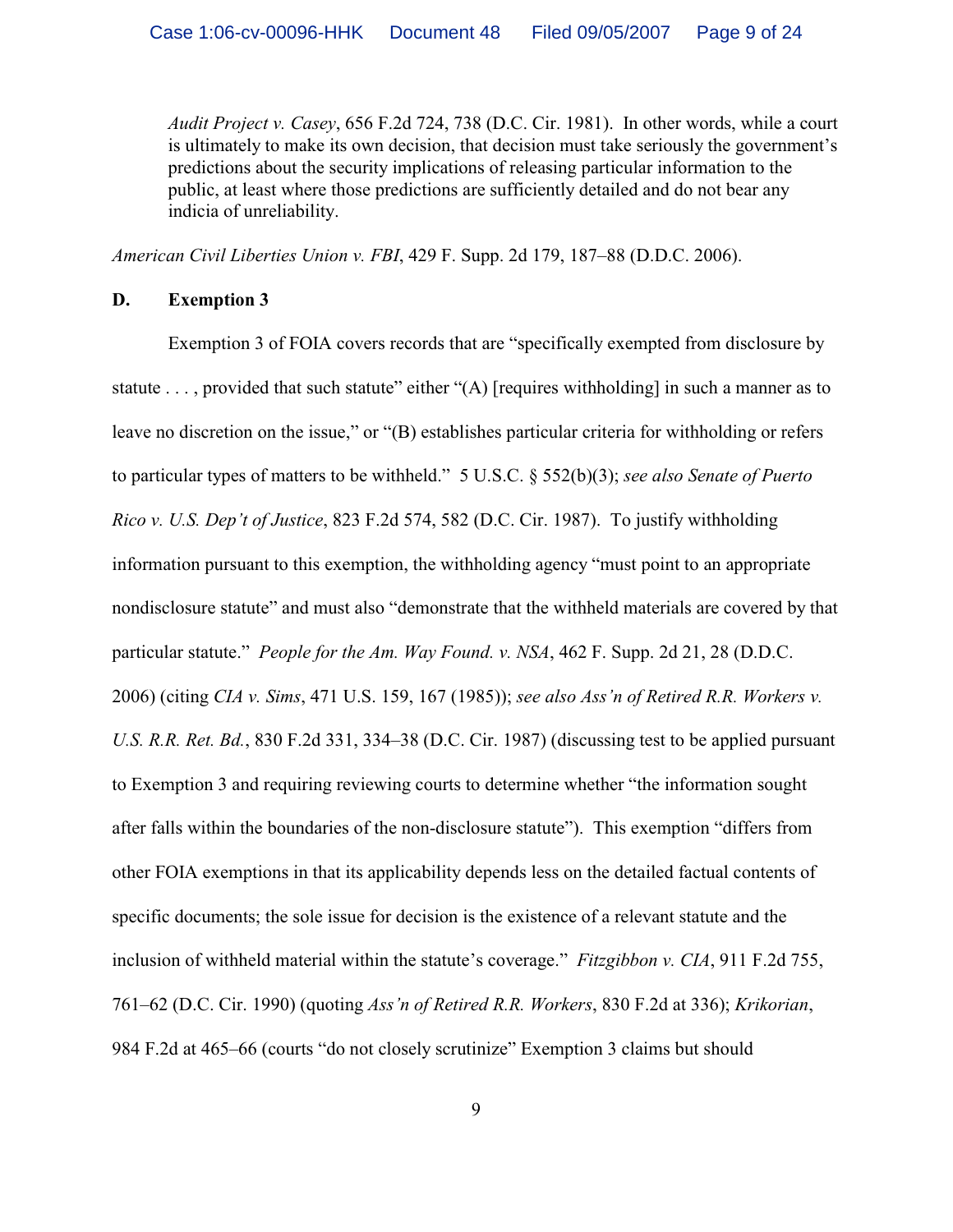*Audit Project v. Casey*, 656 F.2d 724, 738 (D.C. Cir. 1981). In other words, while a court is ultimately to make its own decision, that decision must take seriously the government's predictions about the security implications of releasing particular information to the public, at least where those predictions are sufficiently detailed and do not bear any indicia of unreliability.

*American Civil Liberties Union v. FBI*, 429 F. Supp. 2d 179, 187–88 (D.D.C. 2006).

### **D. Exemption 3**

Exemption 3 of FOIA covers records that are "specifically exempted from disclosure by statute ..., provided that such statute" either "(A) [requires withholding] in such a manner as to leave no discretion on the issue," or "(B) establishes particular criteria for withholding or refers to particular types of matters to be withheld." 5 U.S.C. § 552(b)(3); *see also Senate of Puerto Rico v. U.S. Dep't of Justice*, 823 F.2d 574, 582 (D.C. Cir. 1987). To justify withholding information pursuant to this exemption, the withholding agency "must point to an appropriate nondisclosure statute" and must also "demonstrate that the withheld materials are covered by that particular statute." *People for the Am. Way Found. v. NSA*, 462 F. Supp. 2d 21, 28 (D.D.C. 2006) (citing *CIA v. Sims*, 471 U.S. 159, 167 (1985)); *see also Ass'n of Retired R.R. Workers v. U.S. R.R. Ret. Bd.*, 830 F.2d 331, 334–38 (D.C. Cir. 1987) (discussing test to be applied pursuant to Exemption 3 and requiring reviewing courts to determine whether "the information sought after falls within the boundaries of the non-disclosure statute"). This exemption "differs from other FOIA exemptions in that its applicability depends less on the detailed factual contents of specific documents; the sole issue for decision is the existence of a relevant statute and the inclusion of withheld material within the statute's coverage." *Fitzgibbon v. CIA*, 911 F.2d 755, 761–62 (D.C. Cir. 1990) (quoting *Ass'n of Retired R.R. Workers*, 830 F.2d at 336); *Krikorian*, 984 F.2d at 465–66 (courts "do not closely scrutinize" Exemption 3 claims but should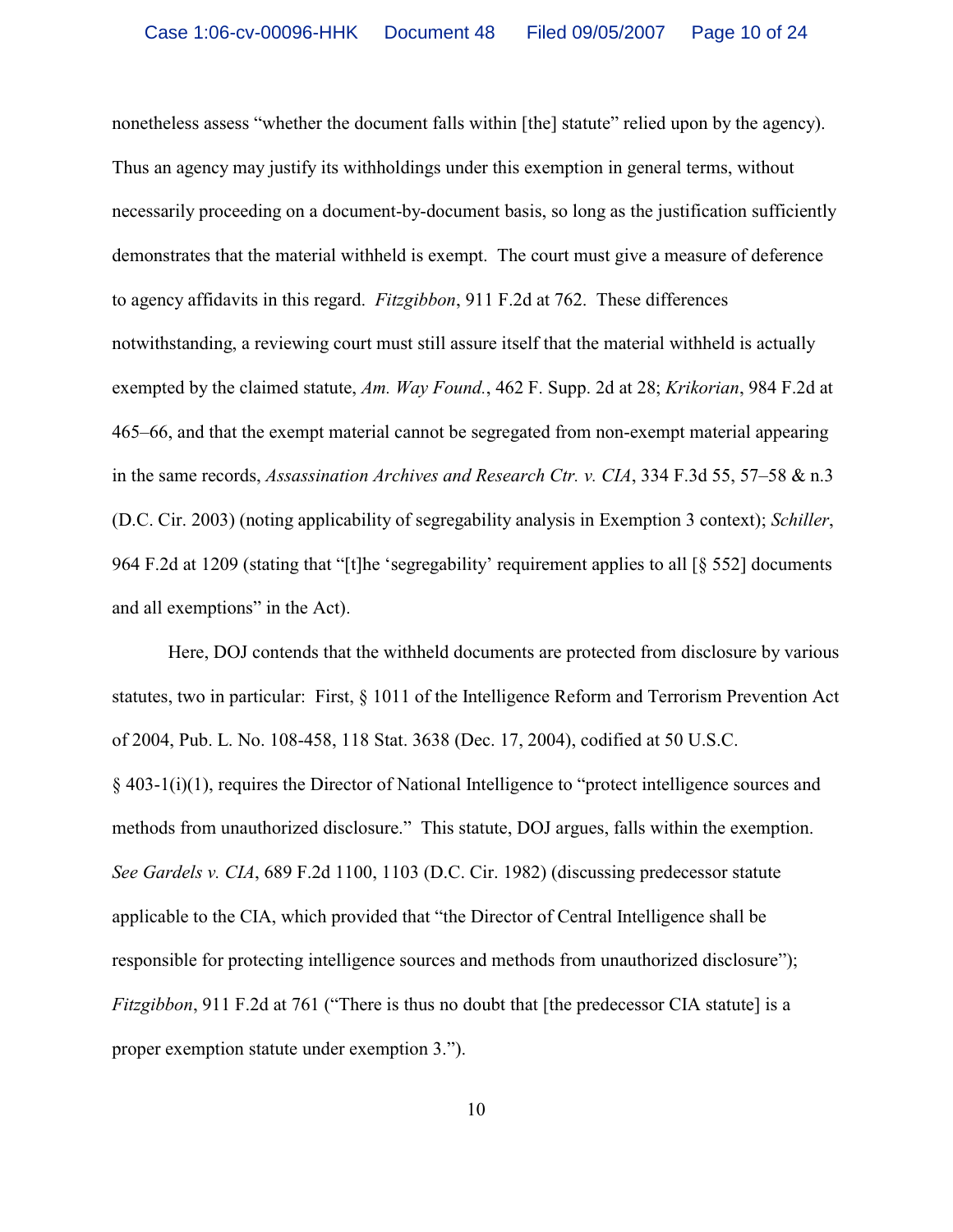nonetheless assess "whether the document falls within [the] statute" relied upon by the agency). Thus an agency may justify its withholdings under this exemption in general terms, without necessarily proceeding on a document-by-document basis, so long as the justification sufficiently demonstrates that the material withheld is exempt. The court must give a measure of deference to agency affidavits in this regard. *Fitzgibbon*, 911 F.2d at 762. These differences notwithstanding, a reviewing court must still assure itself that the material withheld is actually exempted by the claimed statute, *Am. Way Found.*, 462 F. Supp. 2d at 28; *Krikorian*, 984 F.2d at 465–66, and that the exempt material cannot be segregated from non-exempt material appearing in the same records, *Assassination Archives and Research Ctr. v. CIA*, 334 F.3d 55, 57–58 & n.3 (D.C. Cir. 2003) (noting applicability of segregability analysis in Exemption 3 context); *Schiller*, 964 F.2d at 1209 (stating that "[t]he 'segregability' requirement applies to all [§ 552] documents and all exemptions" in the Act).

Here, DOJ contends that the withheld documents are protected from disclosure by various statutes, two in particular: First, § 1011 of the Intelligence Reform and Terrorism Prevention Act of 2004, Pub. L. No. 108-458, 118 Stat. 3638 (Dec. 17, 2004), codified at 50 U.S.C. § 403-1(i)(1), requires the Director of National Intelligence to "protect intelligence sources and methods from unauthorized disclosure." This statute, DOJ argues, falls within the exemption. *See Gardels v. CIA*, 689 F.2d 1100, 1103 (D.C. Cir. 1982) (discussing predecessor statute applicable to the CIA, which provided that "the Director of Central Intelligence shall be responsible for protecting intelligence sources and methods from unauthorized disclosure"); *Fitzgibbon*, 911 F.2d at 761 ("There is thus no doubt that [the predecessor CIA statute] is a proper exemption statute under exemption 3.").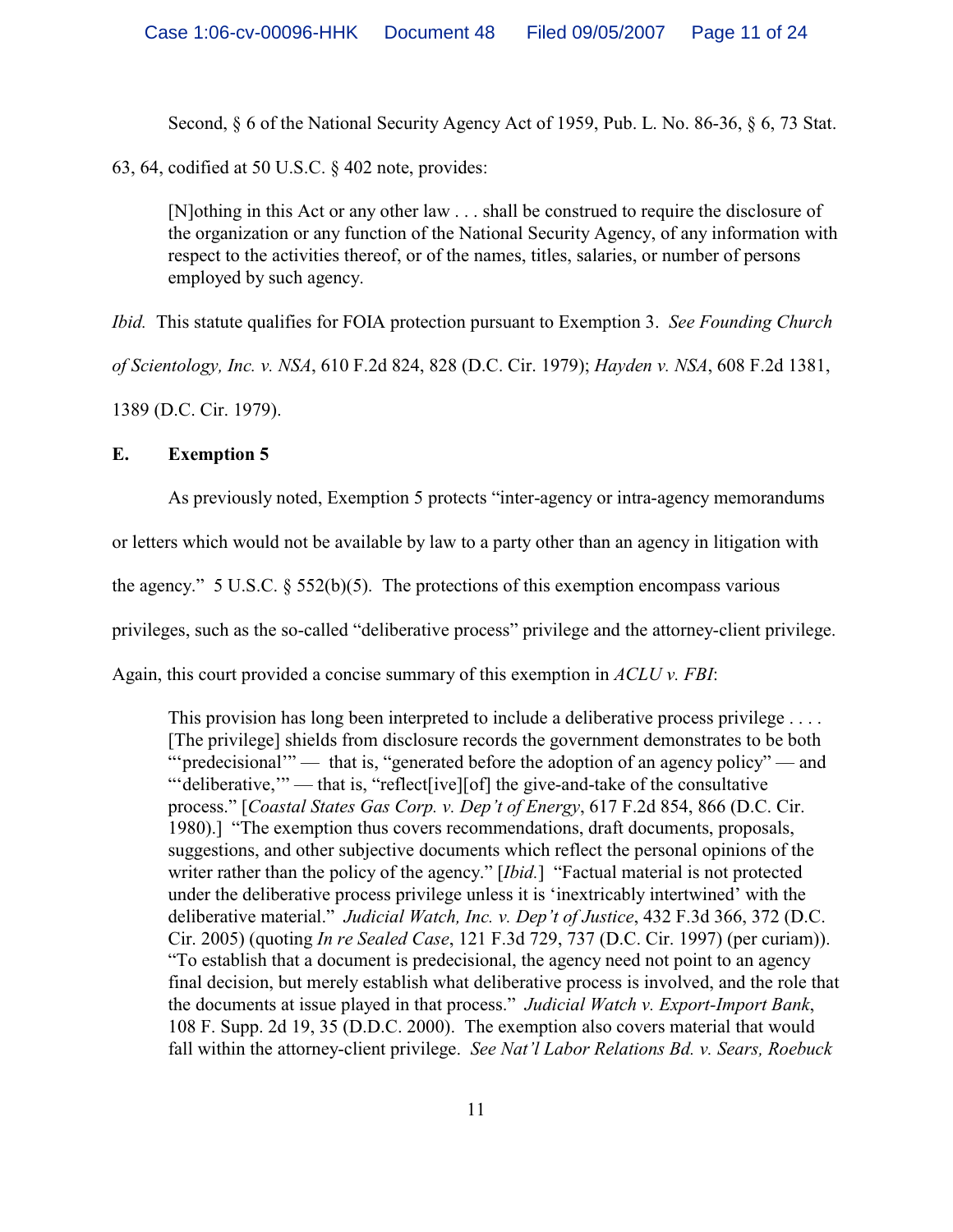Second, § 6 of the National Security Agency Act of 1959, Pub. L. No. 86-36, § 6, 73 Stat.

63, 64, codified at 50 U.S.C. § 402 note, provides:

[N]othing in this Act or any other law . . . shall be construed to require the disclosure of the organization or any function of the National Security Agency, of any information with respect to the activities thereof, or of the names, titles, salaries, or number of persons employed by such agency.

*Ibid.* This statute qualifies for FOIA protection pursuant to Exemption 3. *See Founding Church*

*of Scientology, Inc. v. NSA*, 610 F.2d 824, 828 (D.C. Cir. 1979); *Hayden v. NSA*, 608 F.2d 1381,

1389 (D.C. Cir. 1979).

# **E. Exemption 5**

As previously noted, Exemption 5 protects "inter-agency or intra-agency memorandums

or letters which would not be available by law to a party other than an agency in litigation with

the agency." 5 U.S.C.  $\S$  552(b)(5). The protections of this exemption encompass various

privileges, such as the so-called "deliberative process" privilege and the attorney-client privilege.

Again, this court provided a concise summary of this exemption in *ACLU v. FBI*:

This provision has long been interpreted to include a deliberative process privilege . . . . [The privilege] shields from disclosure records the government demonstrates to be both ""predecisional" — that is, "generated before the adoption of an agency policy" — and "'deliberative," — that is, "reflect[ive][of] the give-and-take of the consultative process." [*Coastal States Gas Corp. v. Dep't of Energy*, 617 F.2d 854, 866 (D.C. Cir. 1980).] "The exemption thus covers recommendations, draft documents, proposals, suggestions, and other subjective documents which reflect the personal opinions of the writer rather than the policy of the agency." [*Ibid.*] "Factual material is not protected under the deliberative process privilege unless it is 'inextricably intertwined' with the deliberative material." *Judicial Watch, Inc. v. Dep't of Justice*, 432 F.3d 366, 372 (D.C. Cir. 2005) (quoting *In re Sealed Case*, 121 F.3d 729, 737 (D.C. Cir. 1997) (per curiam)). "To establish that a document is predecisional, the agency need not point to an agency final decision, but merely establish what deliberative process is involved, and the role that the documents at issue played in that process." *Judicial Watch v. Export-Import Bank*, 108 F. Supp. 2d 19, 35 (D.D.C. 2000). The exemption also covers material that would fall within the attorney-client privilege. *See Nat'l Labor Relations Bd. v. Sears, Roebuck*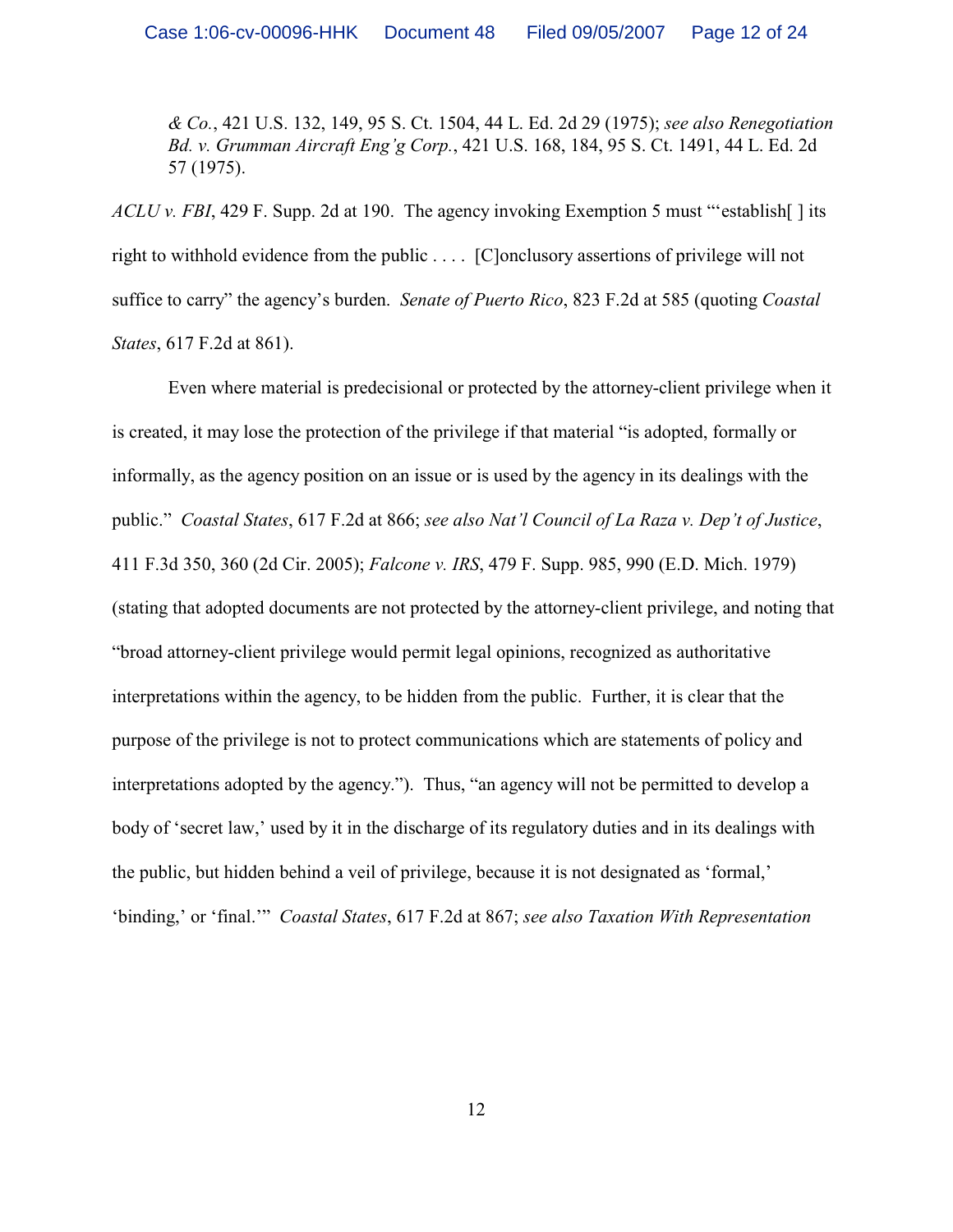*& Co.*, 421 U.S. 132, 149, 95 S. Ct. 1504, 44 L. Ed. 2d 29 (1975); *see also Renegotiation Bd. v. Grumman Aircraft Eng'g Corp.*, 421 U.S. 168, 184, 95 S. Ct. 1491, 44 L. Ed. 2d 57 (1975).

*ACLU v. FBI*, 429 F. Supp. 2d at 190. The agency invoking Exemption 5 must "'establish[ ] its right to withhold evidence from the public . . . . [C]onclusory assertions of privilege will not suffice to carry" the agency's burden. *Senate of Puerto Rico*, 823 F.2d at 585 (quoting *Coastal States*, 617 F.2d at 861).

Even where material is predecisional or protected by the attorney-client privilege when it is created, it may lose the protection of the privilege if that material "is adopted, formally or informally, as the agency position on an issue or is used by the agency in its dealings with the public." *Coastal States*, 617 F.2d at 866; *see also Nat'l Council of La Raza v. Dep't of Justice*, 411 F.3d 350, 360 (2d Cir. 2005); *Falcone v. IRS*, 479 F. Supp. 985, 990 (E.D. Mich. 1979) (stating that adopted documents are not protected by the attorney-client privilege, and noting that "broad attorney-client privilege would permit legal opinions, recognized as authoritative interpretations within the agency, to be hidden from the public. Further, it is clear that the purpose of the privilege is not to protect communications which are statements of policy and interpretations adopted by the agency."). Thus, "an agency will not be permitted to develop a body of 'secret law,' used by it in the discharge of its regulatory duties and in its dealings with the public, but hidden behind a veil of privilege, because it is not designated as 'formal,' 'binding,' or 'final.'" *Coastal States*, 617 F.2d at 867; *see also Taxation With Representation*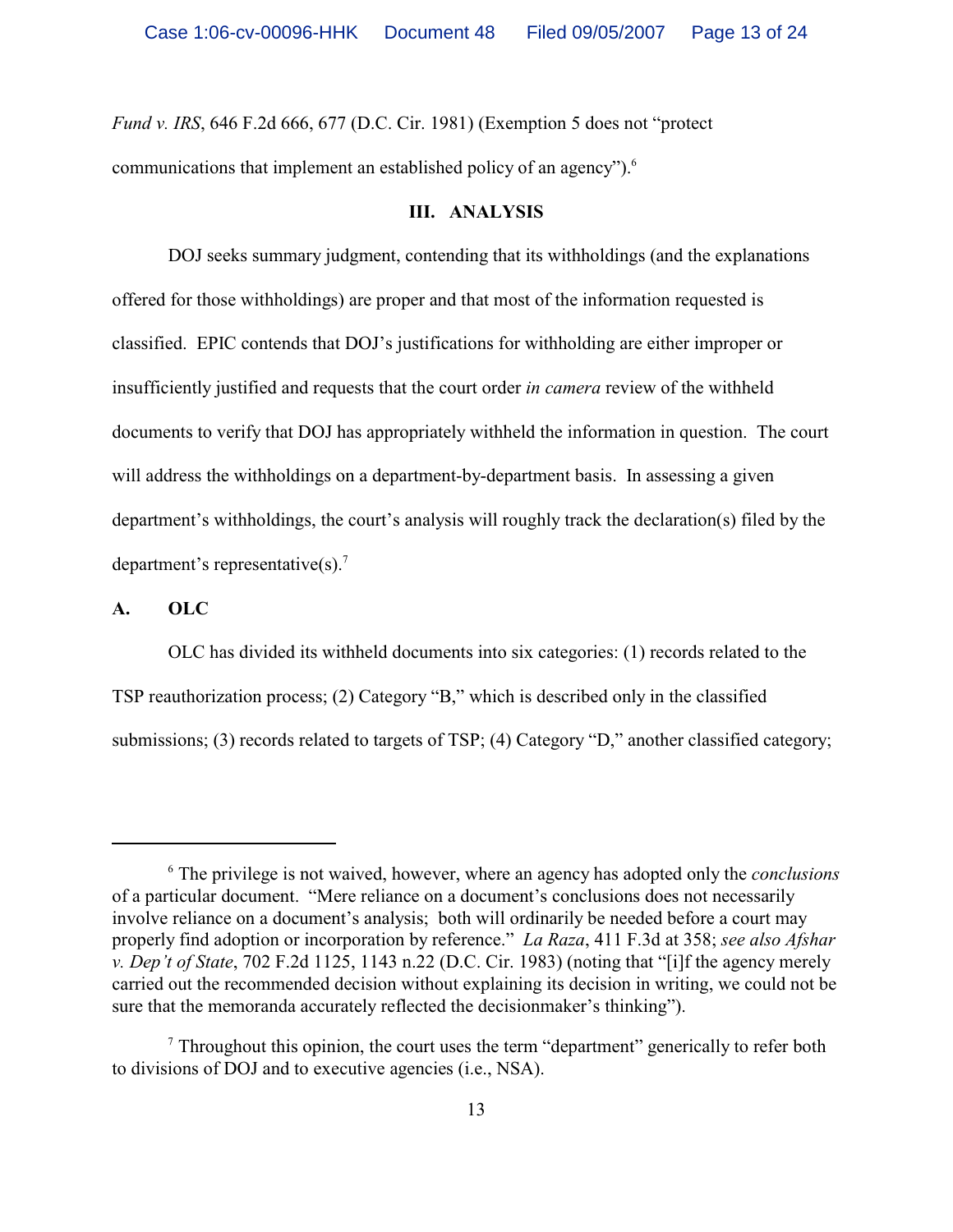*Fund v. IRS*, 646 F.2d 666, 677 (D.C. Cir. 1981) (Exemption 5 does not "protect communications that implement an established policy of an agency").<sup>6</sup>

#### **III. ANALYSIS**

DOJ seeks summary judgment, contending that its withholdings (and the explanations offered for those withholdings) are proper and that most of the information requested is classified. EPIC contends that DOJ's justifications for withholding are either improper or insufficiently justified and requests that the court order *in camera* review of the withheld documents to verify that DOJ has appropriately withheld the information in question. The court will address the withholdings on a department-by-department basis. In assessing a given department's withholdings, the court's analysis will roughly track the declaration(s) filed by the department's representative(s).<sup>7</sup>

### **A. OLC**

OLC has divided its withheld documents into six categories: (1) records related to the TSP reauthorization process; (2) Category "B," which is described only in the classified submissions; (3) records related to targets of TSP; (4) Category "D," another classified category;

The privilege is not waived, however, where an agency has adopted only the *conclusions* <sup>6</sup> of a particular document. "Mere reliance on a document's conclusions does not necessarily involve reliance on a document's analysis; both will ordinarily be needed before a court may properly find adoption or incorporation by reference." *La Raza*, 411 F.3d at 358; *see also Afshar v. Dep't of State*, 702 F.2d 1125, 1143 n.22 (D.C. Cir. 1983) (noting that "[i]f the agency merely carried out the recommended decision without explaining its decision in writing, we could not be sure that the memoranda accurately reflected the decisionmaker's thinking").

 $\alpha$ <sup>7</sup> Throughout this opinion, the court uses the term "department" generically to refer both to divisions of DOJ and to executive agencies (i.e., NSA).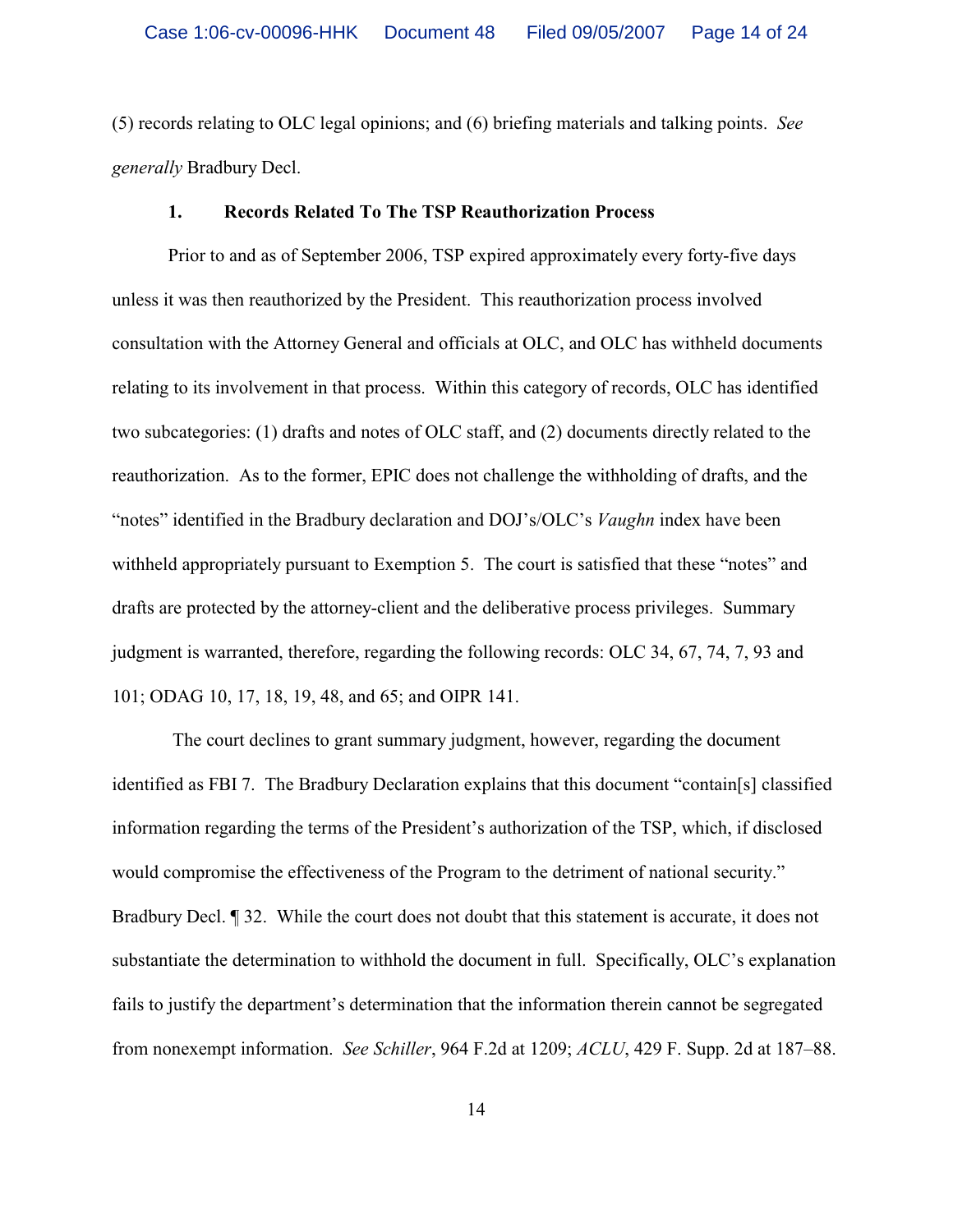(5) records relating to OLC legal opinions; and (6) briefing materials and talking points. *See generally* Bradbury Decl.

#### **1. Records Related To The TSP Reauthorization Process**

Prior to and as of September 2006, TSP expired approximately every forty-five days unless it was then reauthorized by the President. This reauthorization process involved consultation with the Attorney General and officials at OLC, and OLC has withheld documents relating to its involvement in that process. Within this category of records, OLC has identified two subcategories: (1) drafts and notes of OLC staff, and (2) documents directly related to the reauthorization. As to the former, EPIC does not challenge the withholding of drafts, and the "notes" identified in the Bradbury declaration and DOJ's/OLC's *Vaughn* index have been withheld appropriately pursuant to Exemption 5. The court is satisfied that these "notes" and drafts are protected by the attorney-client and the deliberative process privileges. Summary judgment is warranted, therefore, regarding the following records: OLC 34, 67, 74, 7, 93 and 101; ODAG 10, 17, 18, 19, 48, and 65; and OIPR 141.

 The court declines to grant summary judgment, however, regarding the document identified as FBI 7. The Bradbury Declaration explains that this document "contain[s] classified information regarding the terms of the President's authorization of the TSP, which, if disclosed would compromise the effectiveness of the Program to the detriment of national security." Bradbury Decl. ¶ 32. While the court does not doubt that this statement is accurate, it does not substantiate the determination to withhold the document in full. Specifically, OLC's explanation fails to justify the department's determination that the information therein cannot be segregated from nonexempt information. *See Schiller*, 964 F.2d at 1209; *ACLU*, 429 F. Supp. 2d at 187–88.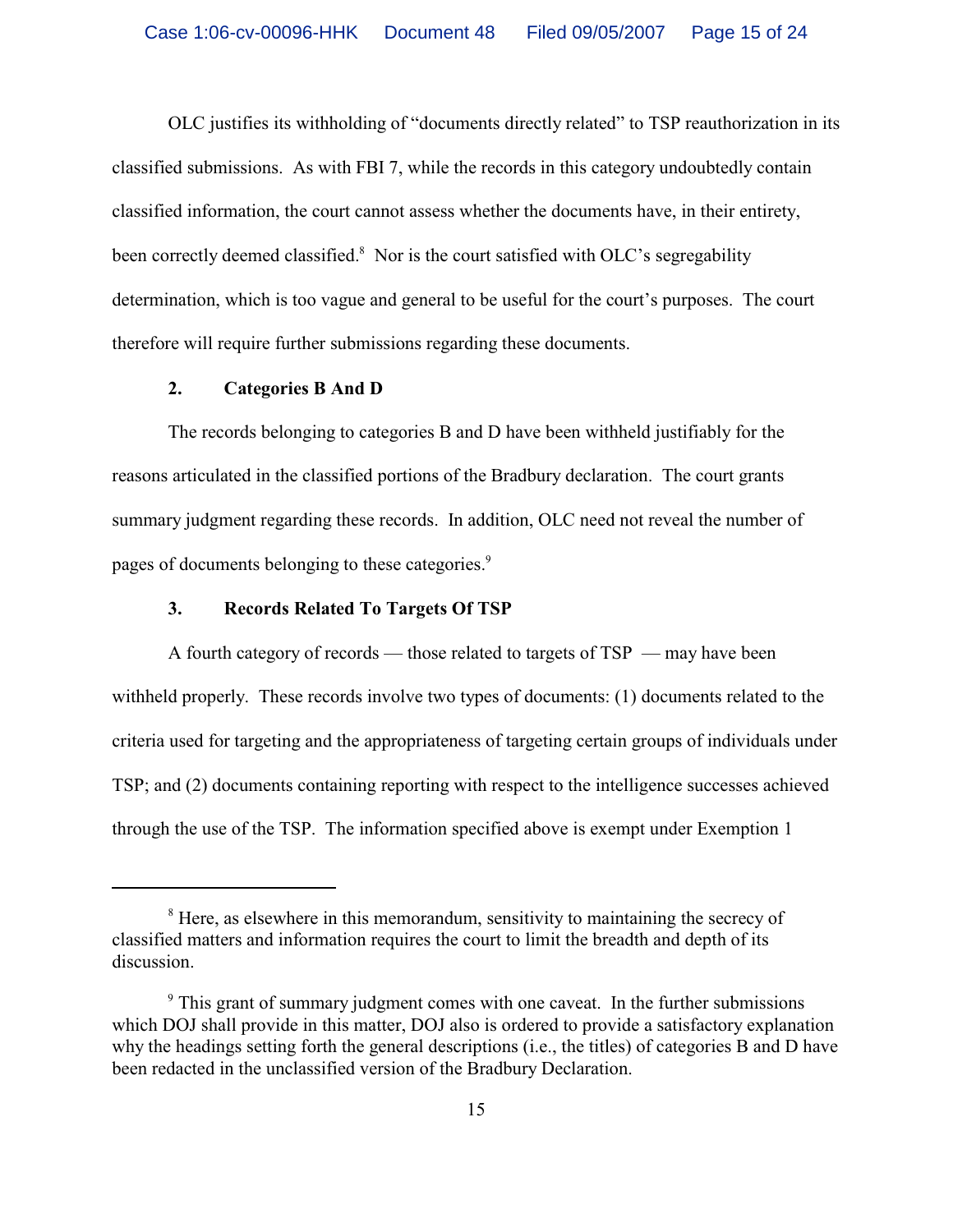OLC justifies its withholding of "documents directly related" to TSP reauthorization in its classified submissions. As with FBI 7, while the records in this category undoubtedly contain classified information, the court cannot assess whether the documents have, in their entirety, been correctly deemed classified. $8$  Nor is the court satisfied with OLC's segregability determination, which is too vague and general to be useful for the court's purposes. The court therefore will require further submissions regarding these documents.

### **2. Categories B And D**

The records belonging to categories B and D have been withheld justifiably for the reasons articulated in the classified portions of the Bradbury declaration. The court grants summary judgment regarding these records. In addition, OLC need not reveal the number of pages of documents belonging to these categories.<sup>9</sup>

### **3. Records Related To Targets Of TSP**

A fourth category of records — those related to targets of TSP — may have been withheld properly. These records involve two types of documents: (1) documents related to the criteria used for targeting and the appropriateness of targeting certain groups of individuals under TSP; and (2) documents containing reporting with respect to the intelligence successes achieved through the use of the TSP. The information specified above is exempt under Exemption 1

<sup>&</sup>lt;sup>8</sup> Here, as elsewhere in this memorandum, sensitivity to maintaining the secrecy of classified matters and information requires the court to limit the breadth and depth of its discussion.

<sup>&</sup>lt;sup>9</sup> This grant of summary judgment comes with one caveat. In the further submissions which DOJ shall provide in this matter, DOJ also is ordered to provide a satisfactory explanation why the headings setting forth the general descriptions (i.e., the titles) of categories B and D have been redacted in the unclassified version of the Bradbury Declaration.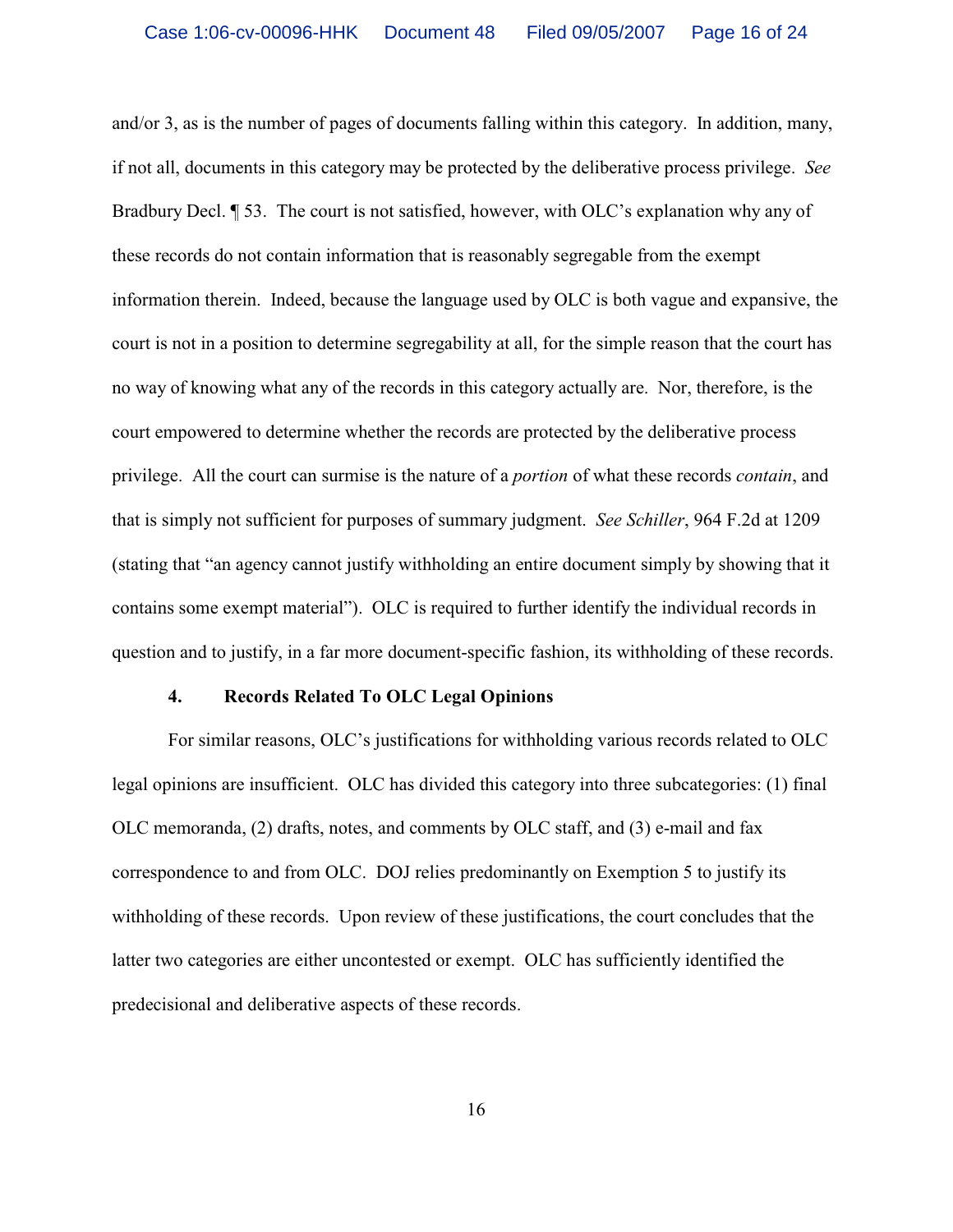and/or 3, as is the number of pages of documents falling within this category. In addition, many, if not all, documents in this category may be protected by the deliberative process privilege. *See* Bradbury Decl. ¶ 53. The court is not satisfied, however, with OLC's explanation why any of these records do not contain information that is reasonably segregable from the exempt information therein. Indeed, because the language used by OLC is both vague and expansive, the court is not in a position to determine segregability at all, for the simple reason that the court has no way of knowing what any of the records in this category actually are. Nor, therefore, is the court empowered to determine whether the records are protected by the deliberative process privilege. All the court can surmise is the nature of a *portion* of what these records *contain*, and that is simply not sufficient for purposes of summary judgment. *See Schiller*, 964 F.2d at 1209 (stating that "an agency cannot justify withholding an entire document simply by showing that it contains some exempt material"). OLC is required to further identify the individual records in question and to justify, in a far more document-specific fashion, its withholding of these records.

### **4. Records Related To OLC Legal Opinions**

For similar reasons, OLC's justifications for withholding various records related to OLC legal opinions are insufficient. OLC has divided this category into three subcategories: (1) final OLC memoranda, (2) drafts, notes, and comments by OLC staff, and (3) e-mail and fax correspondence to and from OLC. DOJ relies predominantly on Exemption 5 to justify its withholding of these records. Upon review of these justifications, the court concludes that the latter two categories are either uncontested or exempt. OLC has sufficiently identified the predecisional and deliberative aspects of these records.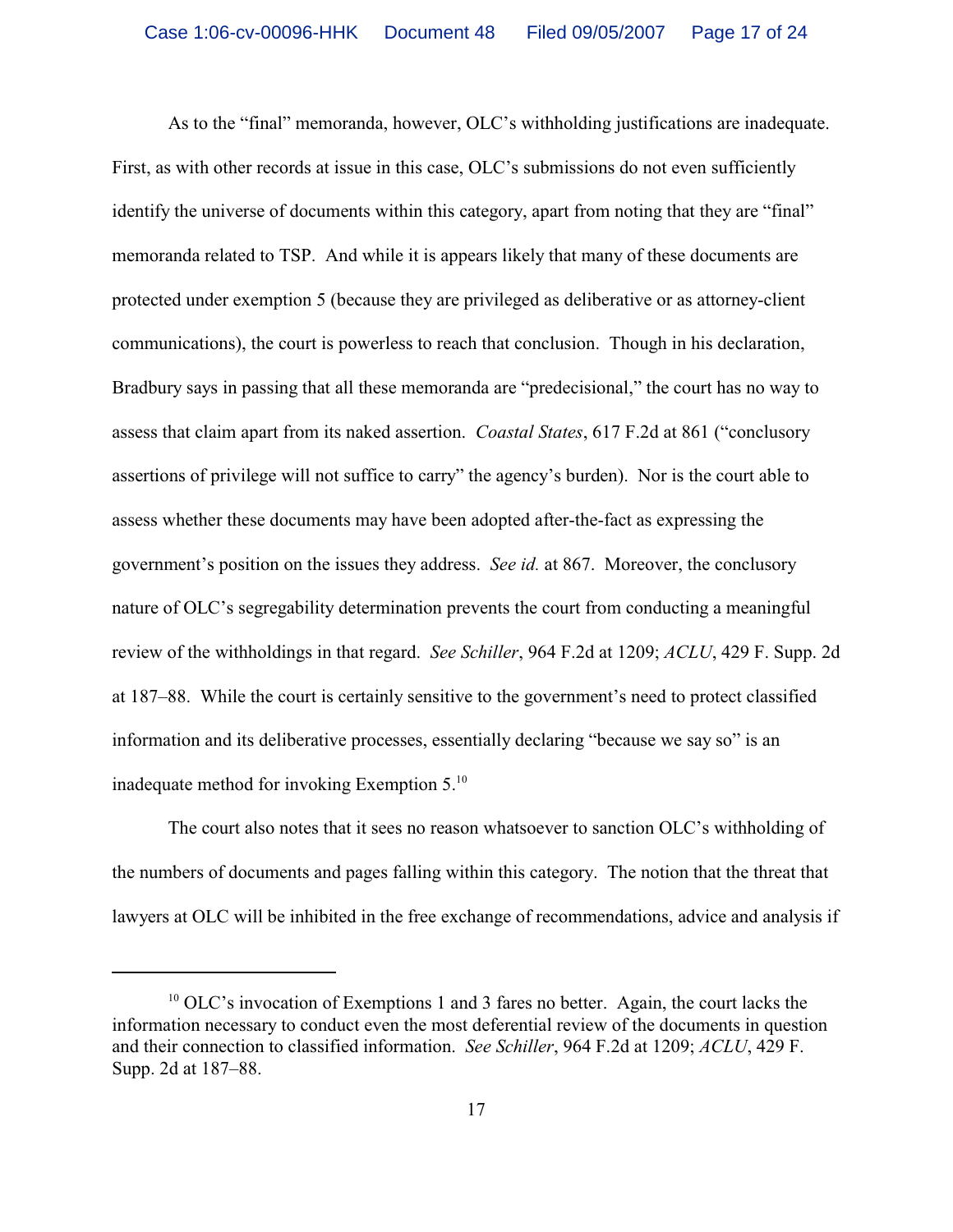As to the "final" memoranda, however, OLC's withholding justifications are inadequate. First, as with other records at issue in this case, OLC's submissions do not even sufficiently identify the universe of documents within this category, apart from noting that they are "final" memoranda related to TSP. And while it is appears likely that many of these documents are protected under exemption 5 (because they are privileged as deliberative or as attorney-client communications), the court is powerless to reach that conclusion. Though in his declaration, Bradbury says in passing that all these memoranda are "predecisional," the court has no way to assess that claim apart from its naked assertion. *Coastal States*, 617 F.2d at 861 ("conclusory assertions of privilege will not suffice to carry" the agency's burden). Nor is the court able to assess whether these documents may have been adopted after-the-fact as expressing the government's position on the issues they address. *See id.* at 867. Moreover, the conclusory nature of OLC's segregability determination prevents the court from conducting a meaningful review of the withholdings in that regard. *See Schiller*, 964 F.2d at 1209; *ACLU*, 429 F. Supp. 2d at 187–88. While the court is certainly sensitive to the government's need to protect classified information and its deliberative processes, essentially declaring "because we say so" is an inadequate method for invoking Exemption 5.<sup>10</sup>

The court also notes that it sees no reason whatsoever to sanction OLC's withholding of the numbers of documents and pages falling within this category. The notion that the threat that lawyers at OLC will be inhibited in the free exchange of recommendations, advice and analysis if

 $10$  OLC's invocation of Exemptions 1 and 3 fares no better. Again, the court lacks the information necessary to conduct even the most deferential review of the documents in question and their connection to classified information. *See Schiller*, 964 F.2d at 1209; *ACLU*, 429 F. Supp. 2d at 187–88.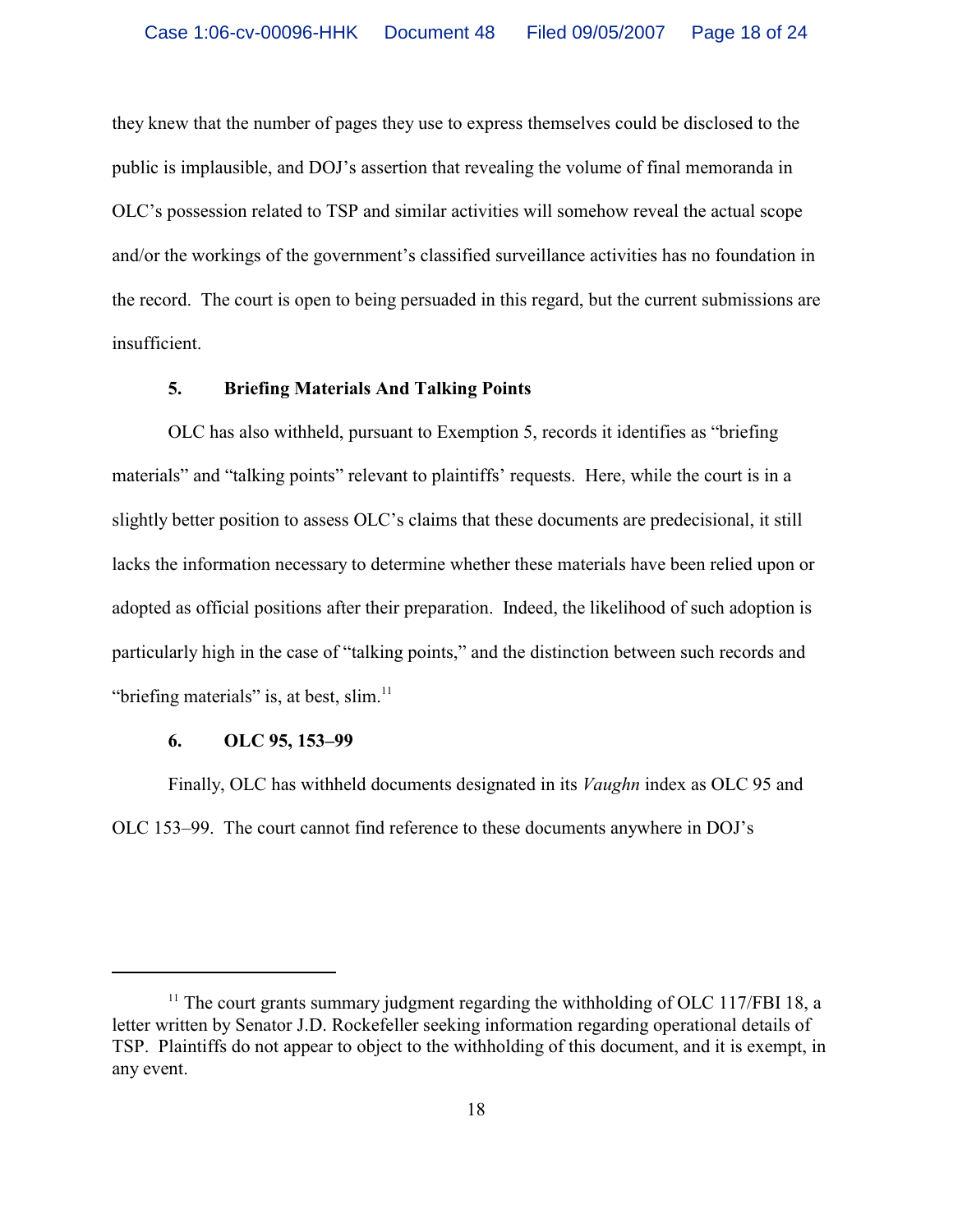they knew that the number of pages they use to express themselves could be disclosed to the public is implausible, and DOJ's assertion that revealing the volume of final memoranda in OLC's possession related to TSP and similar activities will somehow reveal the actual scope and/or the workings of the government's classified surveillance activities has no foundation in the record. The court is open to being persuaded in this regard, but the current submissions are insufficient.

# **5. Briefing Materials And Talking Points**

OLC has also withheld, pursuant to Exemption 5, records it identifies as "briefing materials" and "talking points" relevant to plaintiffs' requests. Here, while the court is in a slightly better position to assess OLC's claims that these documents are predecisional, it still lacks the information necessary to determine whether these materials have been relied upon or adopted as official positions after their preparation. Indeed, the likelihood of such adoption is particularly high in the case of "talking points," and the distinction between such records and "briefing materials" is, at best, slim. $11$ 

### **6. OLC 95, 153–99**

Finally, OLC has withheld documents designated in its *Vaughn* index as OLC 95 and OLC 153–99. The court cannot find reference to these documents anywhere in DOJ's

 $11$  The court grants summary judgment regarding the withholding of OLC 117/FBI 18, a letter written by Senator J.D. Rockefeller seeking information regarding operational details of TSP. Plaintiffs do not appear to object to the withholding of this document, and it is exempt, in any event.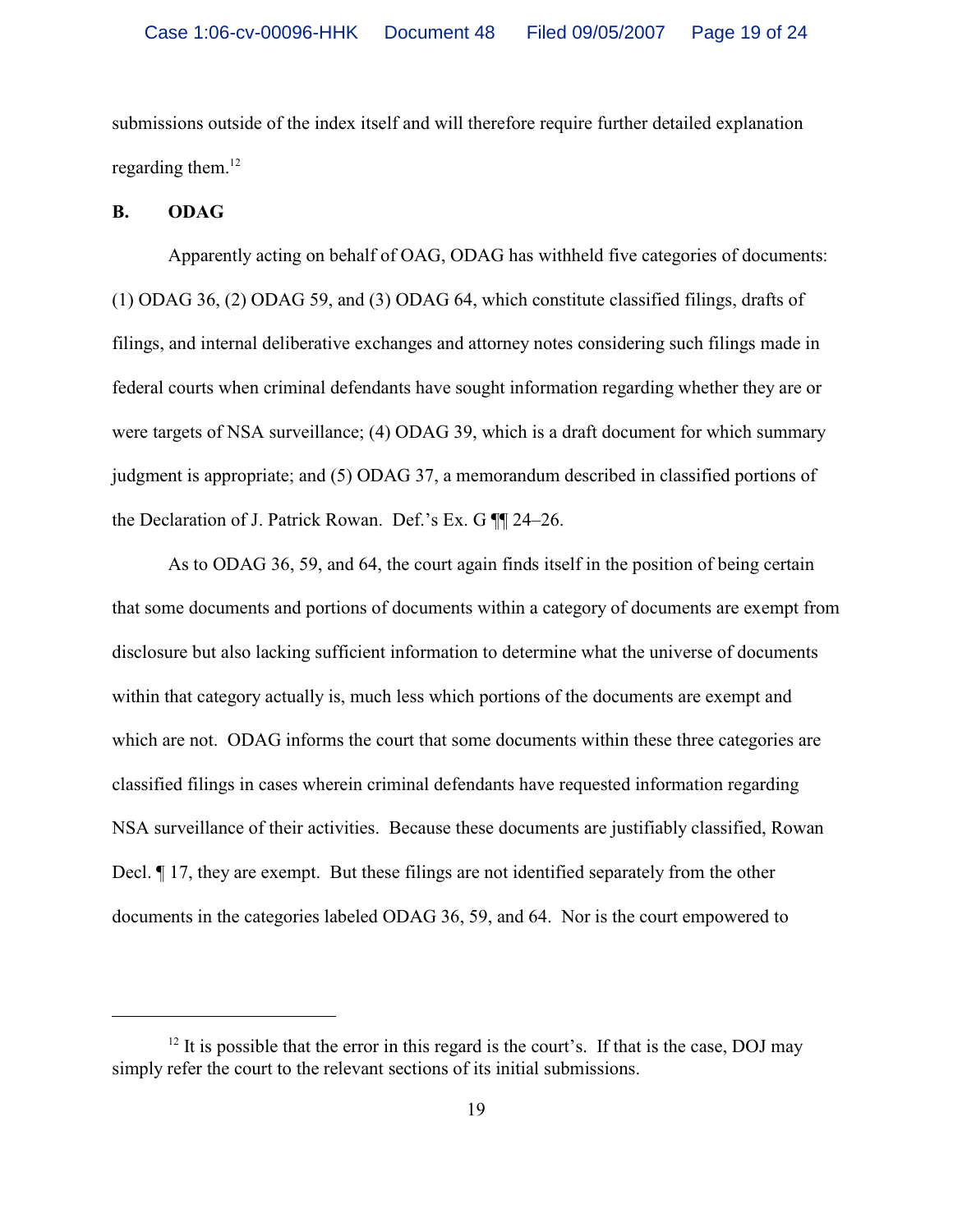submissions outside of the index itself and will therefore require further detailed explanation regarding them.<sup>12</sup>

#### **B. ODAG**

Apparently acting on behalf of OAG, ODAG has withheld five categories of documents: (1) ODAG 36, (2) ODAG 59, and (3) ODAG 64, which constitute classified filings, drafts of filings, and internal deliberative exchanges and attorney notes considering such filings made in federal courts when criminal defendants have sought information regarding whether they are or were targets of NSA surveillance; (4) ODAG 39, which is a draft document for which summary judgment is appropriate; and (5) ODAG 37, a memorandum described in classified portions of the Declaration of J. Patrick Rowan. Def.'s Ex. G ¶¶ 24–26.

As to ODAG 36, 59, and 64, the court again finds itself in the position of being certain that some documents and portions of documents within a category of documents are exempt from disclosure but also lacking sufficient information to determine what the universe of documents within that category actually is, much less which portions of the documents are exempt and which are not. ODAG informs the court that some documents within these three categories are classified filings in cases wherein criminal defendants have requested information regarding NSA surveillance of their activities. Because these documents are justifiably classified, Rowan Decl. ¶ 17, they are exempt. But these filings are not identified separately from the other documents in the categories labeled ODAG 36, 59, and 64. Nor is the court empowered to

 $12$  It is possible that the error in this regard is the court's. If that is the case, DOJ may simply refer the court to the relevant sections of its initial submissions.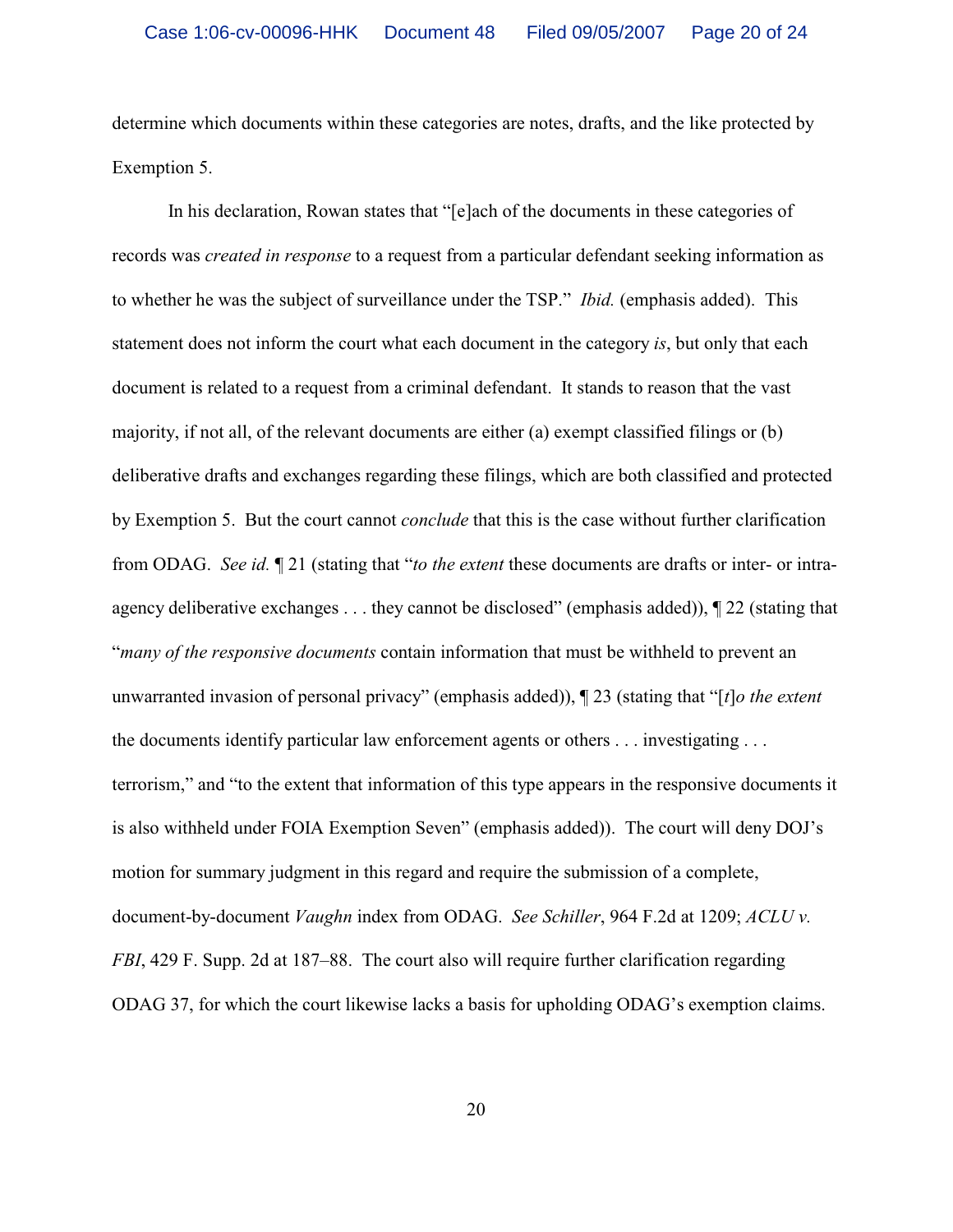determine which documents within these categories are notes, drafts, and the like protected by Exemption 5.

In his declaration, Rowan states that "[e]ach of the documents in these categories of records was *created in response* to a request from a particular defendant seeking information as to whether he was the subject of surveillance under the TSP." *Ibid.* (emphasis added). This statement does not inform the court what each document in the category *is*, but only that each document is related to a request from a criminal defendant. It stands to reason that the vast majority, if not all, of the relevant documents are either (a) exempt classified filings or (b) deliberative drafts and exchanges regarding these filings, which are both classified and protected by Exemption 5. But the court cannot *conclude* that this is the case without further clarification from ODAG. *See id.* ¶ 21 (stating that "*to the extent* these documents are drafts or inter- or intraagency deliberative exchanges . . . they cannot be disclosed" (emphasis added)), ¶ 22 (stating that "*many of the responsive documents* contain information that must be withheld to prevent an unwarranted invasion of personal privacy" (emphasis added)), ¶ 23 (stating that "[*t*]*o the extent* the documents identify particular law enforcement agents or others . . . investigating . . . terrorism," and "to the extent that information of this type appears in the responsive documents it is also withheld under FOIA Exemption Seven" (emphasis added)). The court will deny DOJ's motion for summary judgment in this regard and require the submission of a complete, document-by-document *Vaughn* index from ODAG. *See Schiller*, 964 F.2d at 1209; *ACLU v. FBI*, 429 F. Supp. 2d at 187–88. The court also will require further clarification regarding ODAG 37, for which the court likewise lacks a basis for upholding ODAG's exemption claims.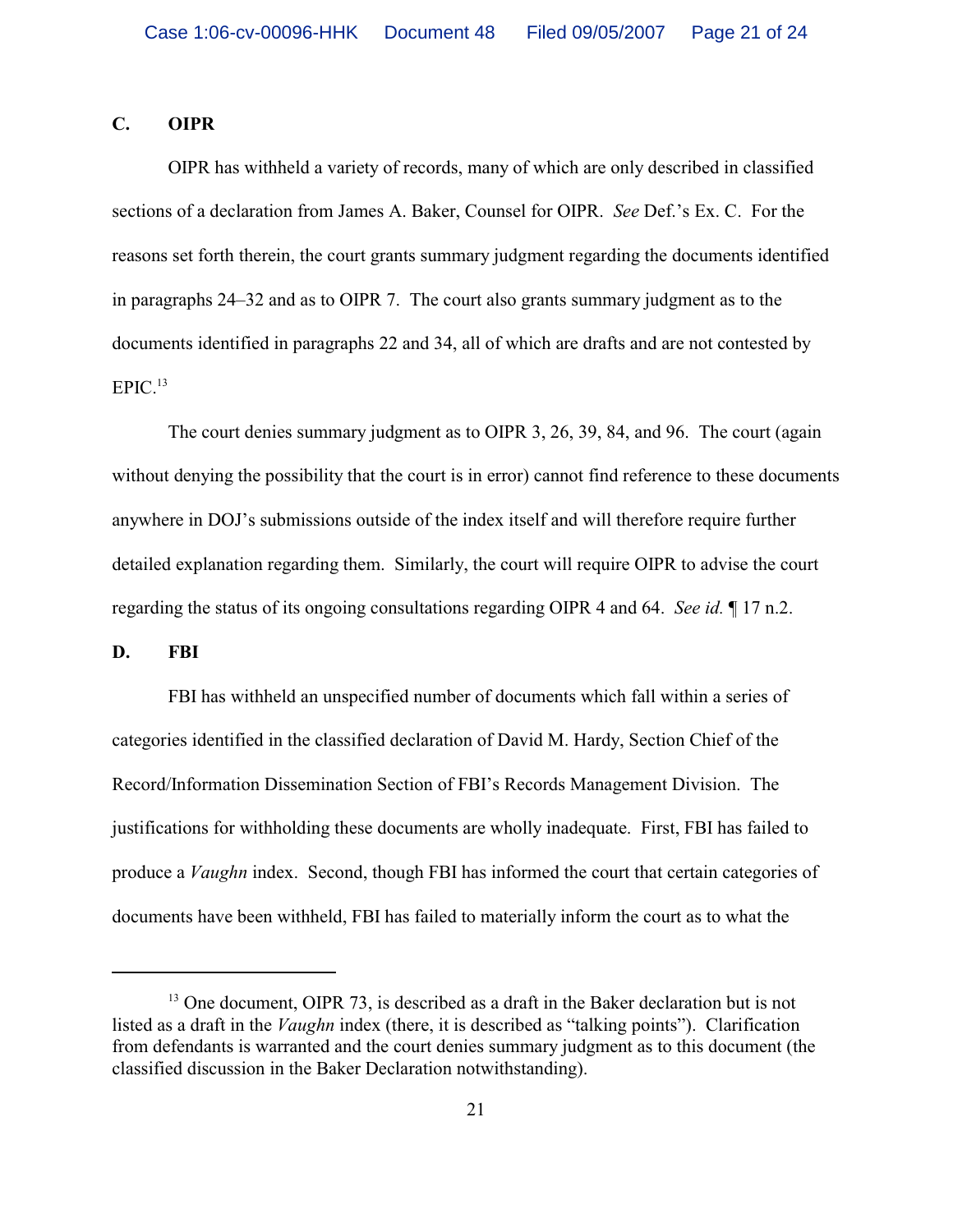# **C. OIPR**

OIPR has withheld a variety of records, many of which are only described in classified sections of a declaration from James A. Baker, Counsel for OIPR. *See* Def.'s Ex. C. For the reasons set forth therein, the court grants summary judgment regarding the documents identified in paragraphs 24–32 and as to OIPR 7. The court also grants summary judgment as to the documents identified in paragraphs 22 and 34, all of which are drafts and are not contested by  $EPIC.<sup>13</sup>$ 

The court denies summary judgment as to OIPR 3, 26, 39, 84, and 96. The court (again without denying the possibility that the court is in error) cannot find reference to these documents anywhere in DOJ's submissions outside of the index itself and will therefore require further detailed explanation regarding them. Similarly, the court will require OIPR to advise the court regarding the status of its ongoing consultations regarding OIPR 4 and 64. *See id.* ¶ 17 n.2.

**D. FBI**

FBI has withheld an unspecified number of documents which fall within a series of categories identified in the classified declaration of David M. Hardy, Section Chief of the Record/Information Dissemination Section of FBI's Records Management Division. The justifications for withholding these documents are wholly inadequate. First, FBI has failed to produce a *Vaughn* index. Second, though FBI has informed the court that certain categories of documents have been withheld, FBI has failed to materially inform the court as to what the

 $13$  One document, OIPR 73, is described as a draft in the Baker declaration but is not listed as a draft in the *Vaughn* index (there, it is described as "talking points"). Clarification from defendants is warranted and the court denies summary judgment as to this document (the classified discussion in the Baker Declaration notwithstanding).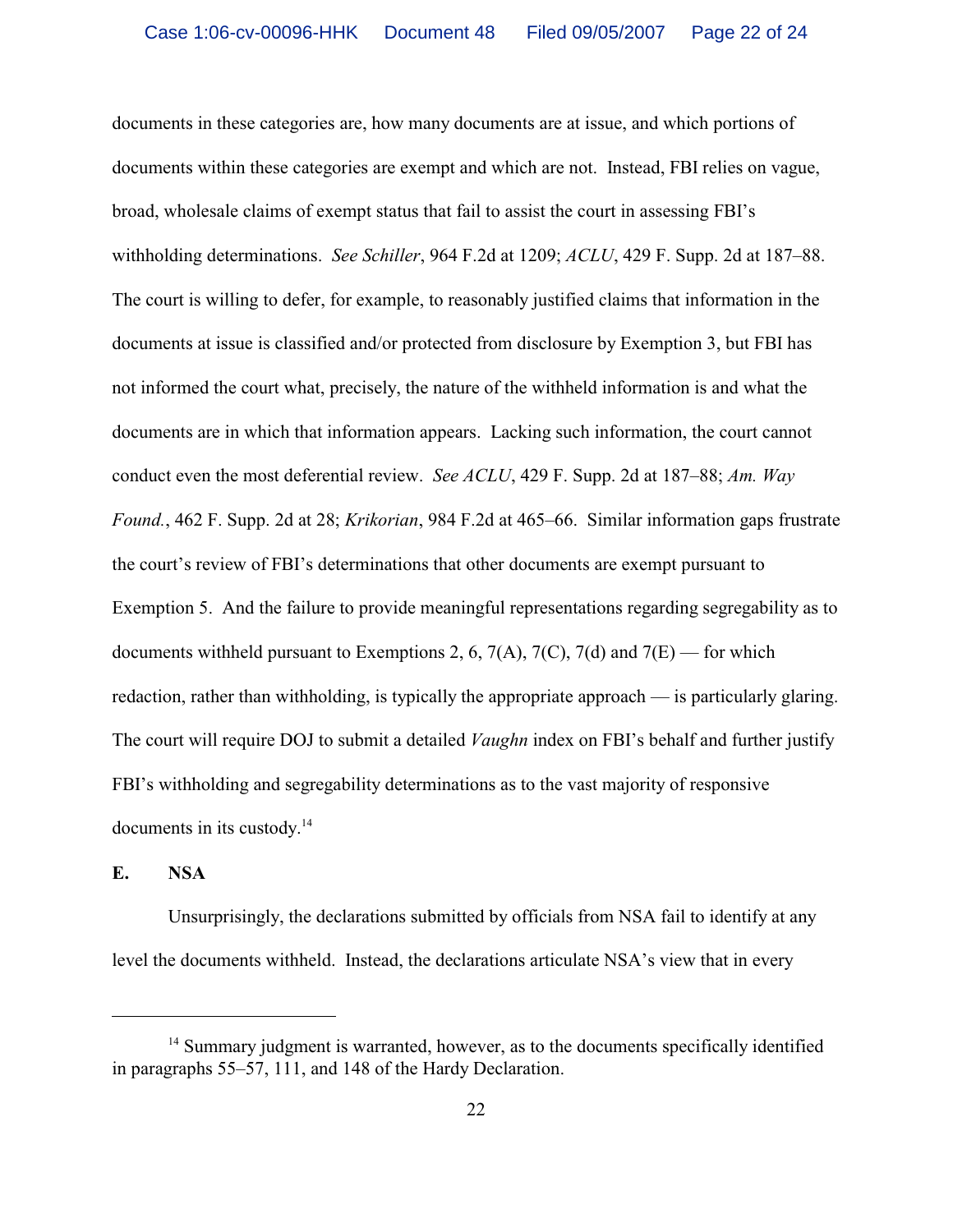documents in these categories are, how many documents are at issue, and which portions of documents within these categories are exempt and which are not. Instead, FBI relies on vague, broad, wholesale claims of exempt status that fail to assist the court in assessing FBI's withholding determinations. *See Schiller*, 964 F.2d at 1209; *ACLU*, 429 F. Supp. 2d at 187–88. The court is willing to defer, for example, to reasonably justified claims that information in the documents at issue is classified and/or protected from disclosure by Exemption 3, but FBI has not informed the court what, precisely, the nature of the withheld information is and what the documents are in which that information appears. Lacking such information, the court cannot conduct even the most deferential review. *See ACLU*, 429 F. Supp. 2d at 187–88; *Am. Way Found.*, 462 F. Supp. 2d at 28; *Krikorian*, 984 F.2d at 465–66. Similar information gaps frustrate the court's review of FBI's determinations that other documents are exempt pursuant to Exemption 5. And the failure to provide meaningful representations regarding segregability as to documents withheld pursuant to Exemptions 2, 6,  $7(A)$ ,  $7(C)$ ,  $7(d)$  and  $7(E)$  — for which redaction, rather than withholding, is typically the appropriate approach — is particularly glaring. The court will require DOJ to submit a detailed *Vaughn* index on FBI's behalf and further justify FBI's withholding and segregability determinations as to the vast majority of responsive documents in its custody.<sup>14</sup>

# **E. NSA**

Unsurprisingly, the declarations submitted by officials from NSA fail to identify at any level the documents withheld. Instead, the declarations articulate NSA's view that in every

 $14$  Summary judgment is warranted, however, as to the documents specifically identified in paragraphs 55–57, 111, and 148 of the Hardy Declaration.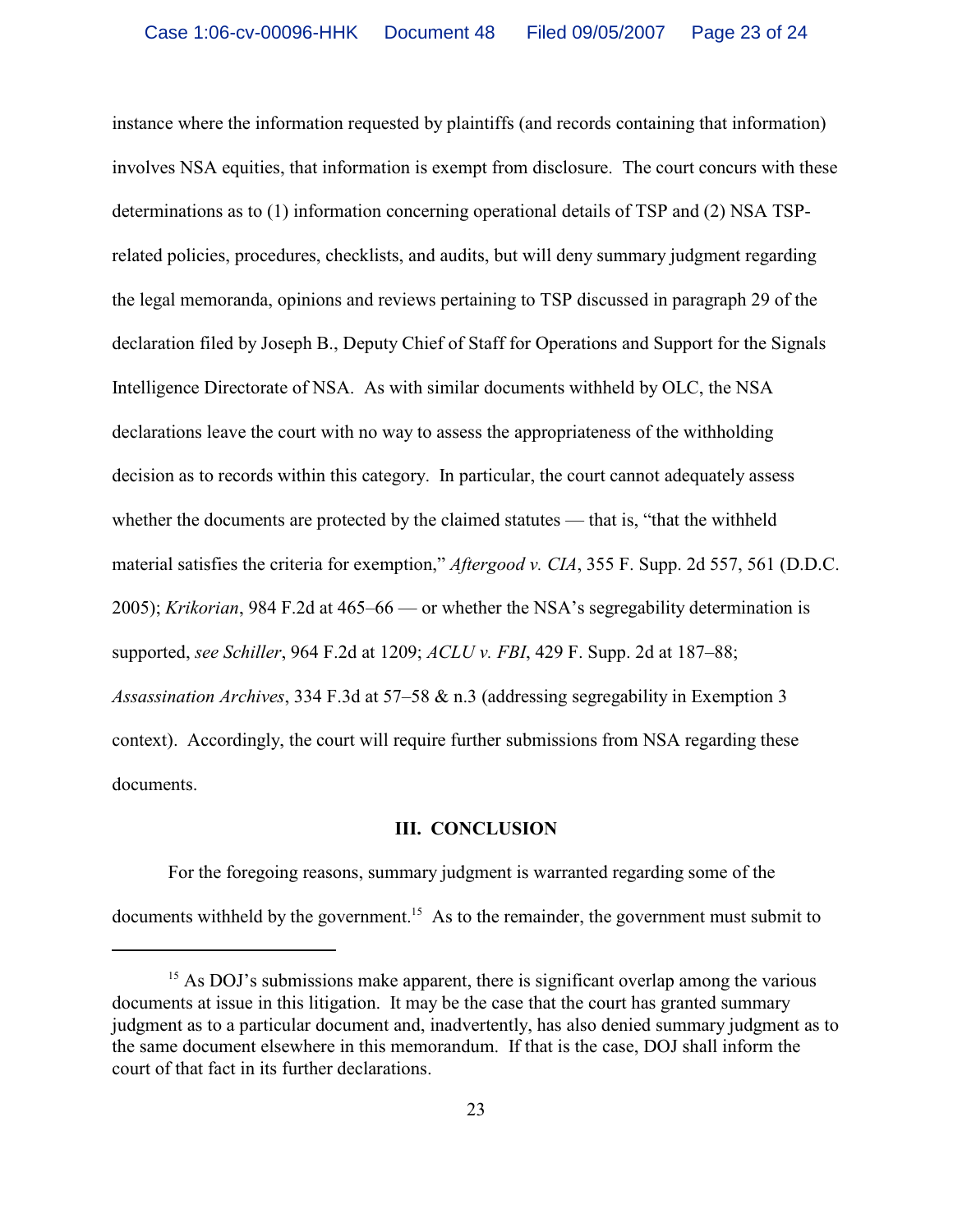instance where the information requested by plaintiffs (and records containing that information) involves NSA equities, that information is exempt from disclosure. The court concurs with these determinations as to (1) information concerning operational details of TSP and (2) NSA TSPrelated policies, procedures, checklists, and audits, but will deny summary judgment regarding the legal memoranda, opinions and reviews pertaining to TSP discussed in paragraph 29 of the declaration filed by Joseph B., Deputy Chief of Staff for Operations and Support for the Signals Intelligence Directorate of NSA. As with similar documents withheld by OLC, the NSA declarations leave the court with no way to assess the appropriateness of the withholding decision as to records within this category. In particular, the court cannot adequately assess whether the documents are protected by the claimed statutes — that is, "that the withheld material satisfies the criteria for exemption," *Aftergood v. CIA*, 355 F. Supp. 2d 557, 561 (D.D.C. 2005); *Krikorian*, 984 F.2d at 465–66 — or whether the NSA's segregability determination is supported, *see Schiller*, 964 F.2d at 1209; *ACLU v. FBI*, 429 F. Supp. 2d at 187–88; *Assassination Archives*, 334 F.3d at 57–58 & n.3 (addressing segregability in Exemption 3 context). Accordingly, the court will require further submissions from NSA regarding these documents.

#### **III. CONCLUSION**

For the foregoing reasons, summary judgment is warranted regarding some of the documents withheld by the government.<sup>15</sup> As to the remainder, the government must submit to

 $^{15}$  As DOJ's submissions make apparent, there is significant overlap among the various documents at issue in this litigation. It may be the case that the court has granted summary judgment as to a particular document and, inadvertently, has also denied summary judgment as to the same document elsewhere in this memorandum. If that is the case, DOJ shall inform the court of that fact in its further declarations.